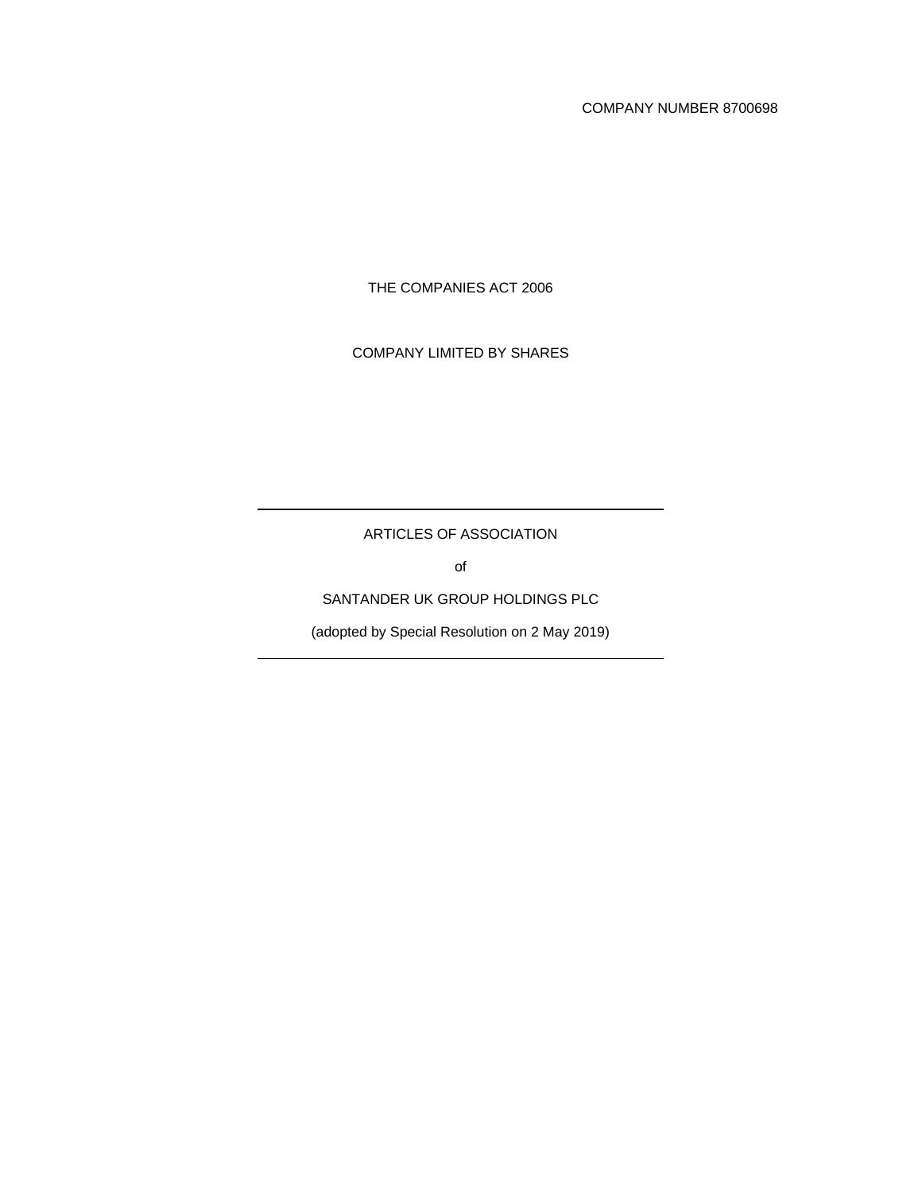COMPANY NUMBER 8700698

THE COMPANIES ACT 2006

COMPANY LIMITED BY SHARES

ARTICLES OF ASSOCIATION

of

SANTANDER UK GROUP HOLDINGS PLC

(adopted by Special Resolution on 2 May 2019)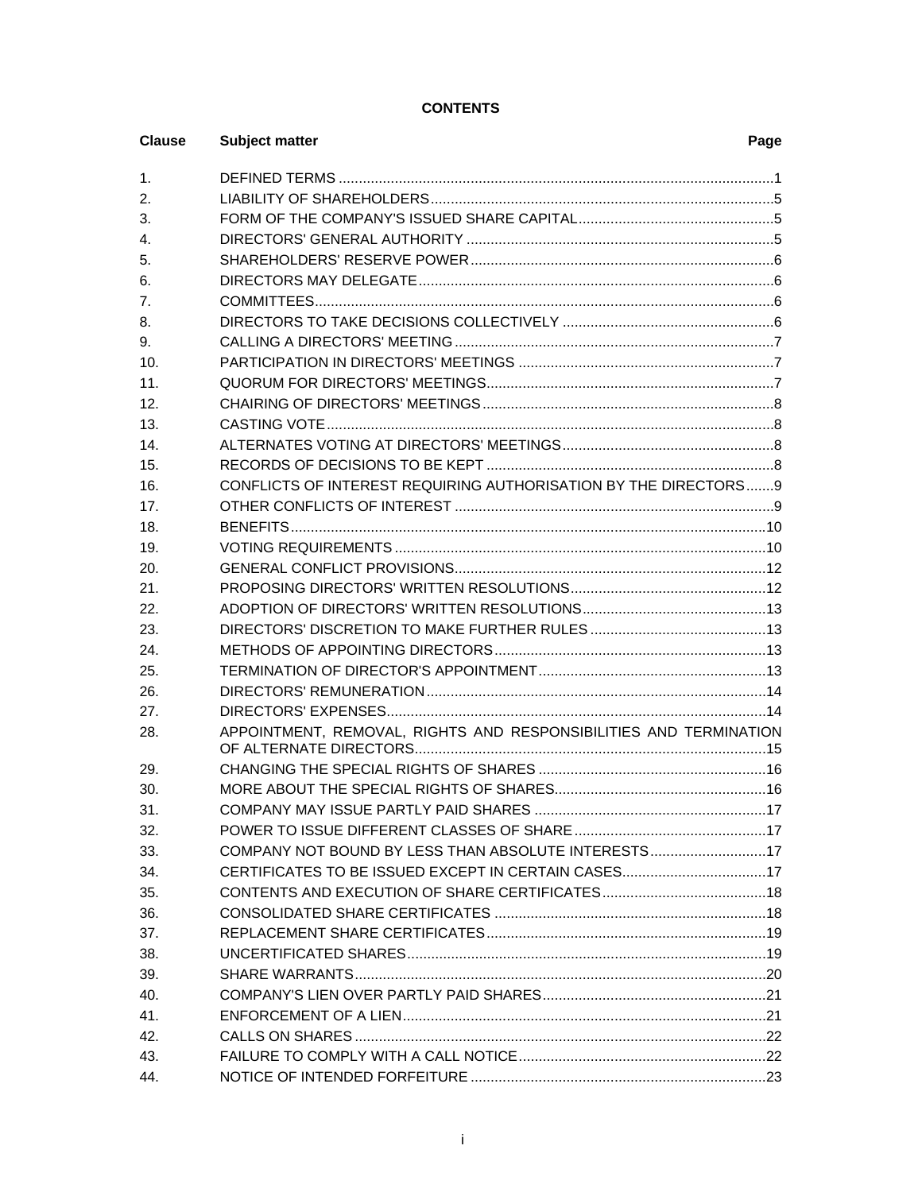# **CONTENTS**

| <b>Clause</b>  | <b>Subject matter</b>                                             | Page |
|----------------|-------------------------------------------------------------------|------|
| $\mathbf{1}$ . |                                                                   |      |
| 2.             |                                                                   |      |
| 3.             |                                                                   |      |
| 4.             |                                                                   |      |
| 5.             |                                                                   |      |
| 6.             |                                                                   |      |
| 7.             |                                                                   |      |
| 8.             |                                                                   |      |
| 9.             |                                                                   |      |
| 10.            |                                                                   |      |
| 11.            |                                                                   |      |
| 12.            |                                                                   |      |
| 13.            |                                                                   |      |
| 14.            |                                                                   |      |
| 15.            |                                                                   |      |
| 16.            | CONFLICTS OF INTEREST REQUIRING AUTHORISATION BY THE DIRECTORS9   |      |
| 17.            |                                                                   |      |
| 18.            |                                                                   |      |
| 19.            |                                                                   |      |
| 20.            |                                                                   |      |
| 21.            |                                                                   |      |
| 22.            |                                                                   |      |
| 23.            |                                                                   |      |
| 24.            |                                                                   |      |
| 25.            |                                                                   |      |
| 26.            |                                                                   |      |
| 27.            |                                                                   |      |
| 28.            | APPOINTMENT, REMOVAL, RIGHTS AND RESPONSIBILITIES AND TERMINATION |      |
| 29.            |                                                                   |      |
| 30.            |                                                                   |      |
| 31.            |                                                                   |      |
| 32.            |                                                                   |      |
| 33.            | COMPANY NOT BOUND BY LESS THAN ABSOLUTE INTERESTS17               |      |
| 34.            |                                                                   |      |
| 35.            |                                                                   |      |
| 36.            |                                                                   |      |
| 37.            |                                                                   |      |
| 38.            |                                                                   |      |
| 39.            |                                                                   |      |
| 40.            |                                                                   |      |
| 41.            |                                                                   |      |
| 42.            |                                                                   |      |
| 43.            |                                                                   |      |
| 44.            |                                                                   |      |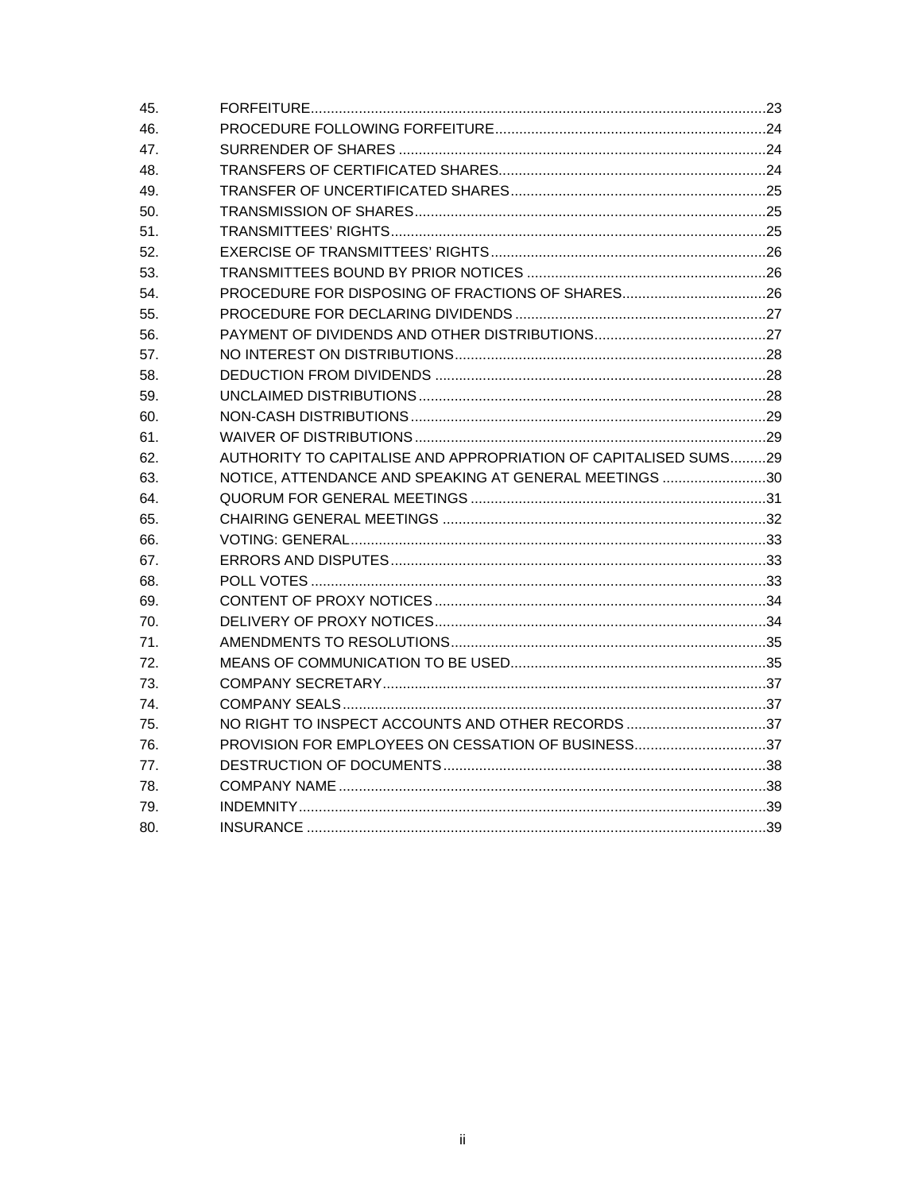| 45. |                                                                 |  |
|-----|-----------------------------------------------------------------|--|
| 46. |                                                                 |  |
| 47. |                                                                 |  |
| 48. |                                                                 |  |
| 49. |                                                                 |  |
| 50. |                                                                 |  |
| 51. |                                                                 |  |
| 52. |                                                                 |  |
| 53. |                                                                 |  |
| 54. |                                                                 |  |
| 55. |                                                                 |  |
| 56. |                                                                 |  |
| 57. |                                                                 |  |
| 58. |                                                                 |  |
| 59. |                                                                 |  |
| 60. |                                                                 |  |
| 61. |                                                                 |  |
| 62. | AUTHORITY TO CAPITALISE AND APPROPRIATION OF CAPITALISED SUMS29 |  |
| 63. | NOTICE, ATTENDANCE AND SPEAKING AT GENERAL MEETINGS 30          |  |
| 64. |                                                                 |  |
| 65. |                                                                 |  |
| 66. |                                                                 |  |
| 67. |                                                                 |  |
| 68. |                                                                 |  |
| 69. |                                                                 |  |
| 70. |                                                                 |  |
| 71. |                                                                 |  |
| 72. |                                                                 |  |
| 73. |                                                                 |  |
| 74. |                                                                 |  |
| 75. | NO RIGHT TO INSPECT ACCOUNTS AND OTHER RECORDS 37               |  |
| 76. | PROVISION FOR EMPLOYEES ON CESSATION OF BUSINESS37              |  |
| 77. |                                                                 |  |
| 78. |                                                                 |  |
| 79. |                                                                 |  |
| 80. |                                                                 |  |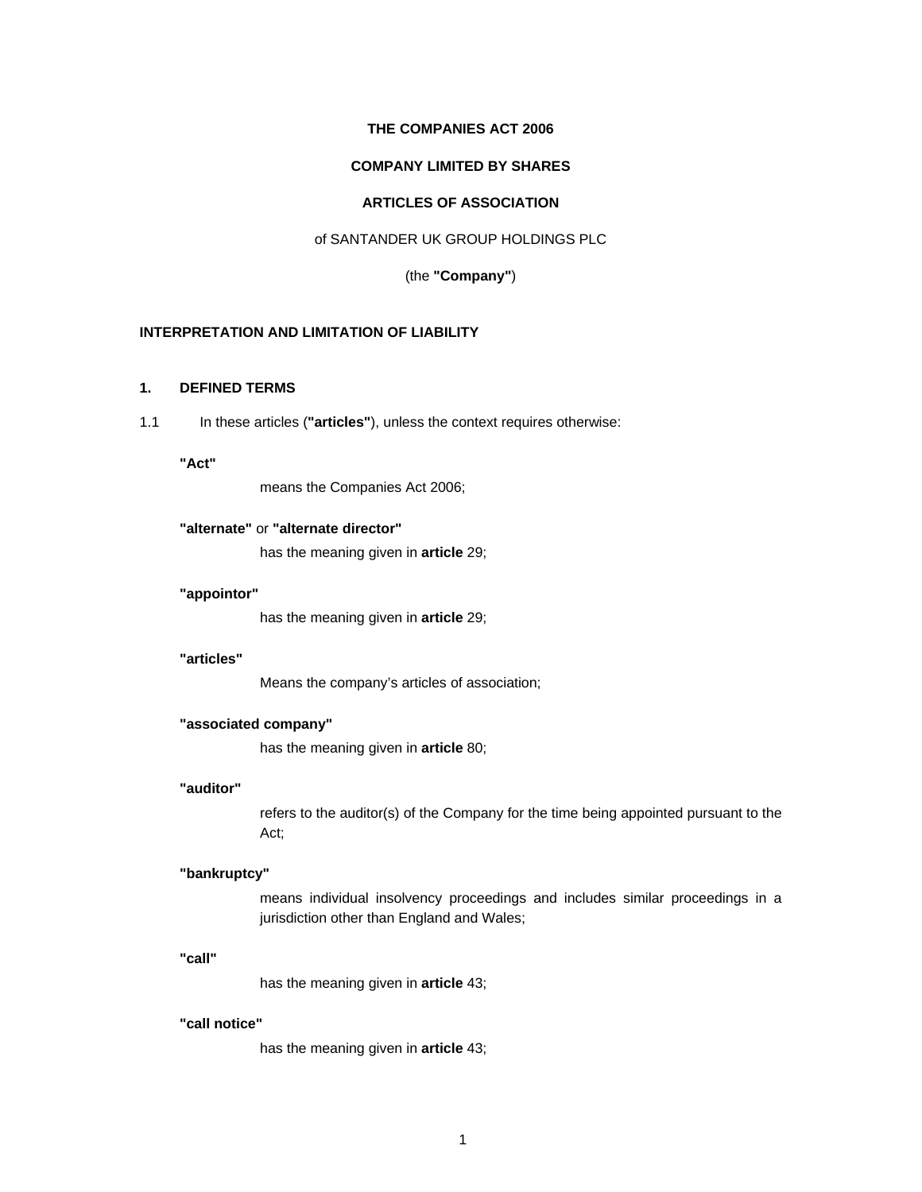## **THE COMPANIES ACT 2006**

# **COMPANY LIMITED BY SHARES**

# **ARTICLES OF ASSOCIATION**

# of SANTANDER UK GROUP HOLDINGS PLC

## (the **"Company"**)

# **INTERPRETATION AND LIMITATION OF LIABILITY**

# **1. DEFINED TERMS**

1.1 In these articles (**"articles"**), unless the context requires otherwise:

# **"Act"**

means the Companies Act 2006;

# **"alternate"** or **"alternate director"**

has the meaning given in **article** 29;

#### **"appointor"**

has the meaning given in **article** 29;

#### **"articles"**

Means the company's articles of association;

#### **"associated company"**

has the meaning given in **article** 80;

### **"auditor"**

refers to the auditor(s) of the Company for the time being appointed pursuant to the Act;

#### **"bankruptcy"**

means individual insolvency proceedings and includes similar proceedings in a jurisdiction other than England and Wales;

#### **"call"**

has the meaning given in **article** 43;

#### **"call notice"**

has the meaning given in **article** 43;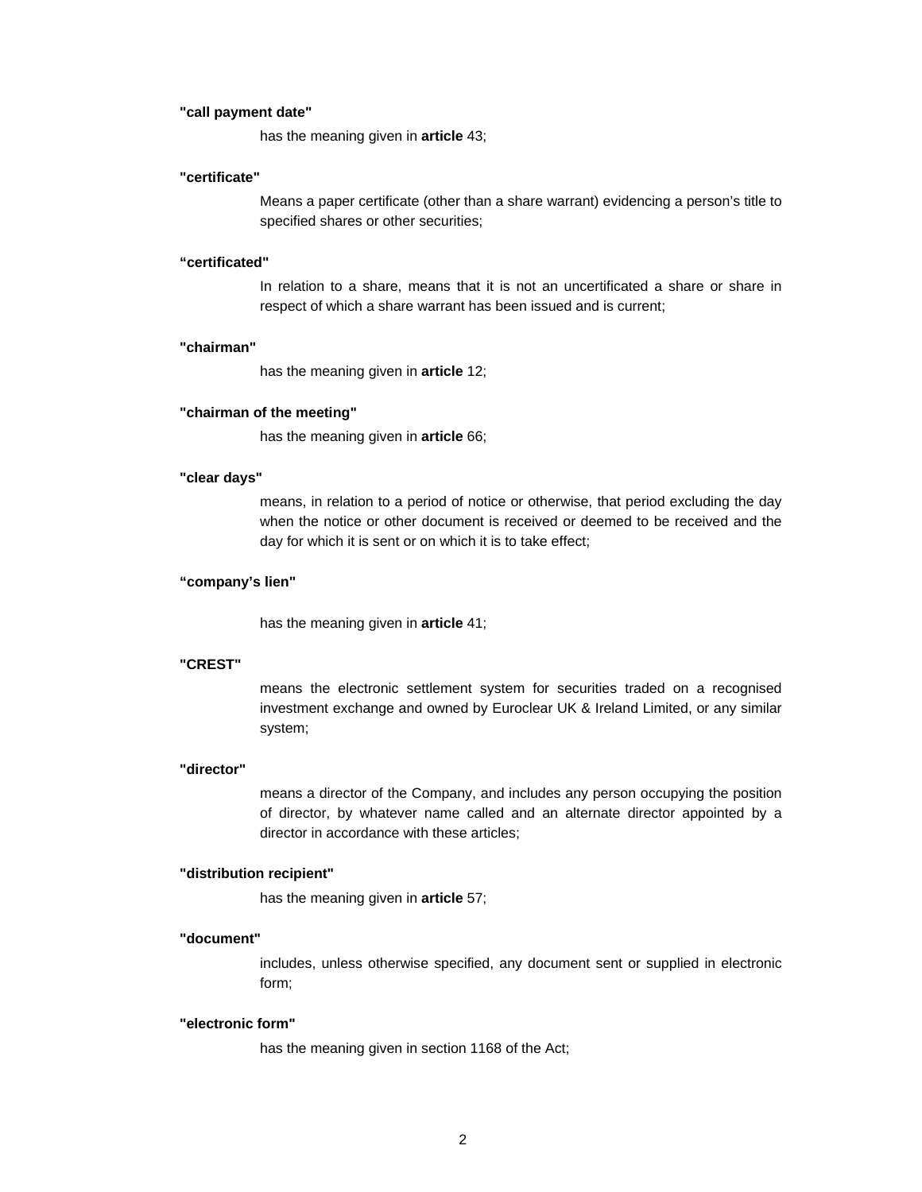#### **"call payment date"**

has the meaning given in **article** 43;

#### **"certificate"**

Means a paper certificate (other than a share warrant) evidencing a person's title to specified shares or other securities;

#### **"certificated"**

In relation to a share, means that it is not an uncertificated a share or share in respect of which a share warrant has been issued and is current;

#### **"chairman"**

has the meaning given in **article** 12;

#### **"chairman of the meeting"**

has the meaning given in **article** 66;

#### **"clear days"**

means, in relation to a period of notice or otherwise, that period excluding the day when the notice or other document is received or deemed to be received and the day for which it is sent or on which it is to take effect;

# **"company's lien"**

has the meaning given in **article** 41;

### **"CREST"**

means the electronic settlement system for securities traded on a recognised investment exchange and owned by Euroclear UK & Ireland Limited, or any similar system;

# **"director"**

means a director of the Company, and includes any person occupying the position of director, by whatever name called and an alternate director appointed by a director in accordance with these articles;

#### **"distribution recipient"**

has the meaning given in **article** 57;

#### **"document"**

includes, unless otherwise specified, any document sent or supplied in electronic form;

#### **"electronic form"**

has the meaning given in section 1168 of the Act;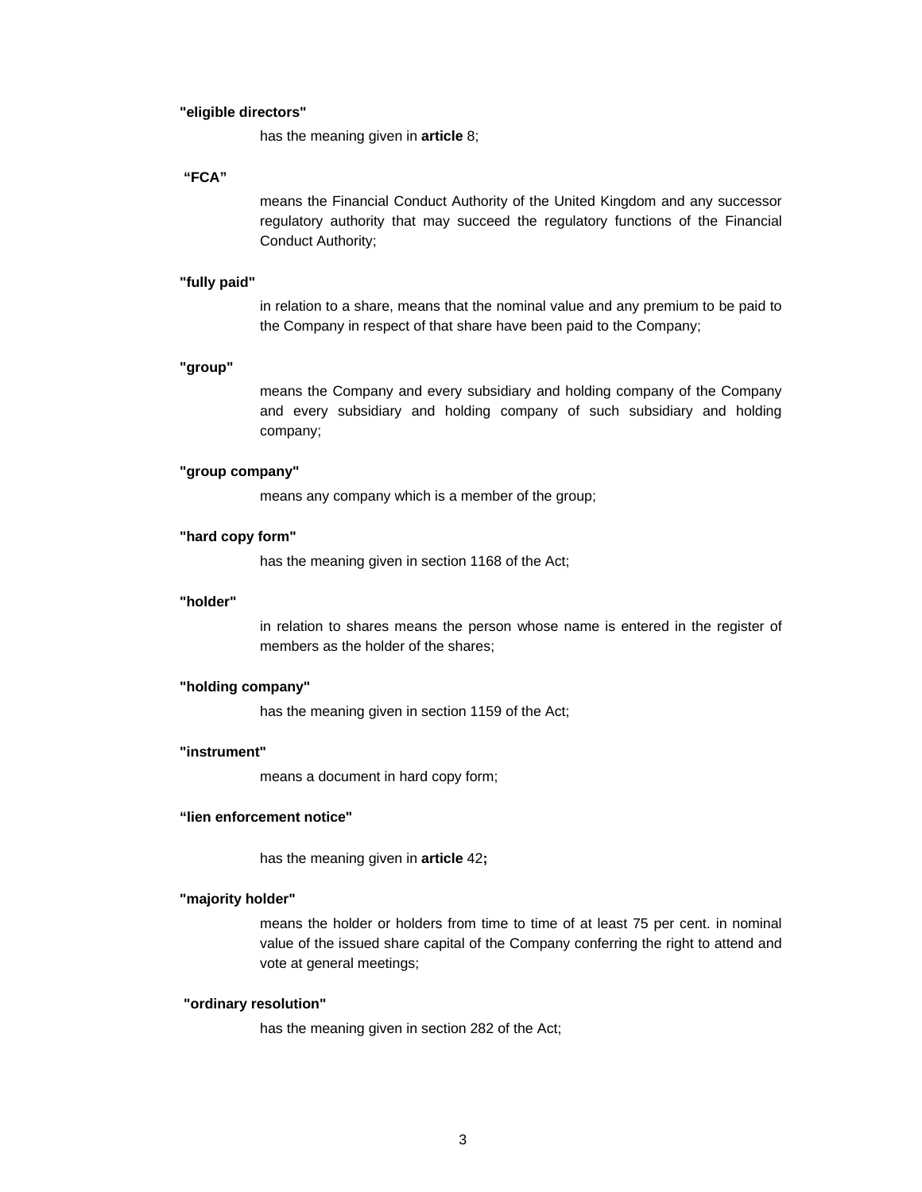#### **"eligible directors"**

has the meaning given in **article** 8;

#### **"FCA"**

means the Financial Conduct Authority of the United Kingdom and any successor regulatory authority that may succeed the regulatory functions of the Financial Conduct Authority;

### **"fully paid"**

in relation to a share, means that the nominal value and any premium to be paid to the Company in respect of that share have been paid to the Company;

# **"group"**

means the Company and every subsidiary and holding company of the Company and every subsidiary and holding company of such subsidiary and holding company;

# **"group company"**

means any company which is a member of the group;

#### **"hard copy form"**

has the meaning given in section 1168 of the Act;

#### **"holder"**

in relation to shares means the person whose name is entered in the register of members as the holder of the shares;

#### **"holding company"**

has the meaning given in section 1159 of the Act;

### **"instrument"**

means a document in hard copy form;

## **"lien enforcement notice"**

has the meaning given in **article** 42**;** 

#### **"majority holder"**

means the holder or holders from time to time of at least 75 per cent. in nominal value of the issued share capital of the Company conferring the right to attend and vote at general meetings;

## **"ordinary resolution"**

has the meaning given in section 282 of the Act;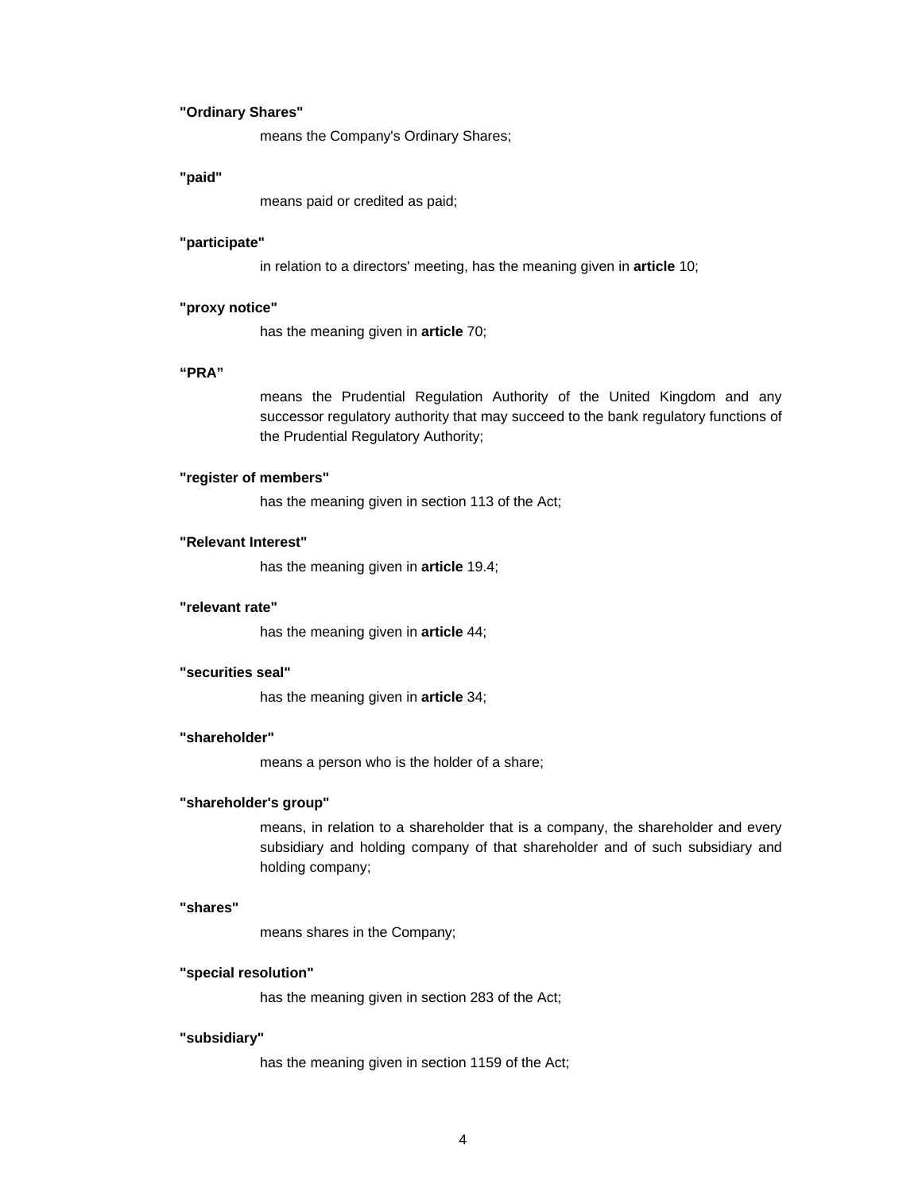### **"Ordinary Shares"**

means the Company's Ordinary Shares;

### **"paid"**

means paid or credited as paid;

### **"participate"**

in relation to a directors' meeting, has the meaning given in **article** 10;

## **"proxy notice"**

has the meaning given in **article** 70;

# **"PRA"**

means the Prudential Regulation Authority of the United Kingdom and any successor regulatory authority that may succeed to the bank regulatory functions of the Prudential Regulatory Authority;

#### **"register of members"**

has the meaning given in section 113 of the Act;

### **"Relevant Interest"**

has the meaning given in **article** 19.4;

#### **"relevant rate"**

has the meaning given in **article** 44;

## **"securities seal"**

has the meaning given in **article** 34;

# **"shareholder"**

means a person who is the holder of a share;

## **"shareholder's group"**

means, in relation to a shareholder that is a company, the shareholder and every subsidiary and holding company of that shareholder and of such subsidiary and holding company;

#### **"shares"**

means shares in the Company;

#### **"special resolution"**

has the meaning given in section 283 of the Act;

### **"subsidiary"**

has the meaning given in section 1159 of the Act;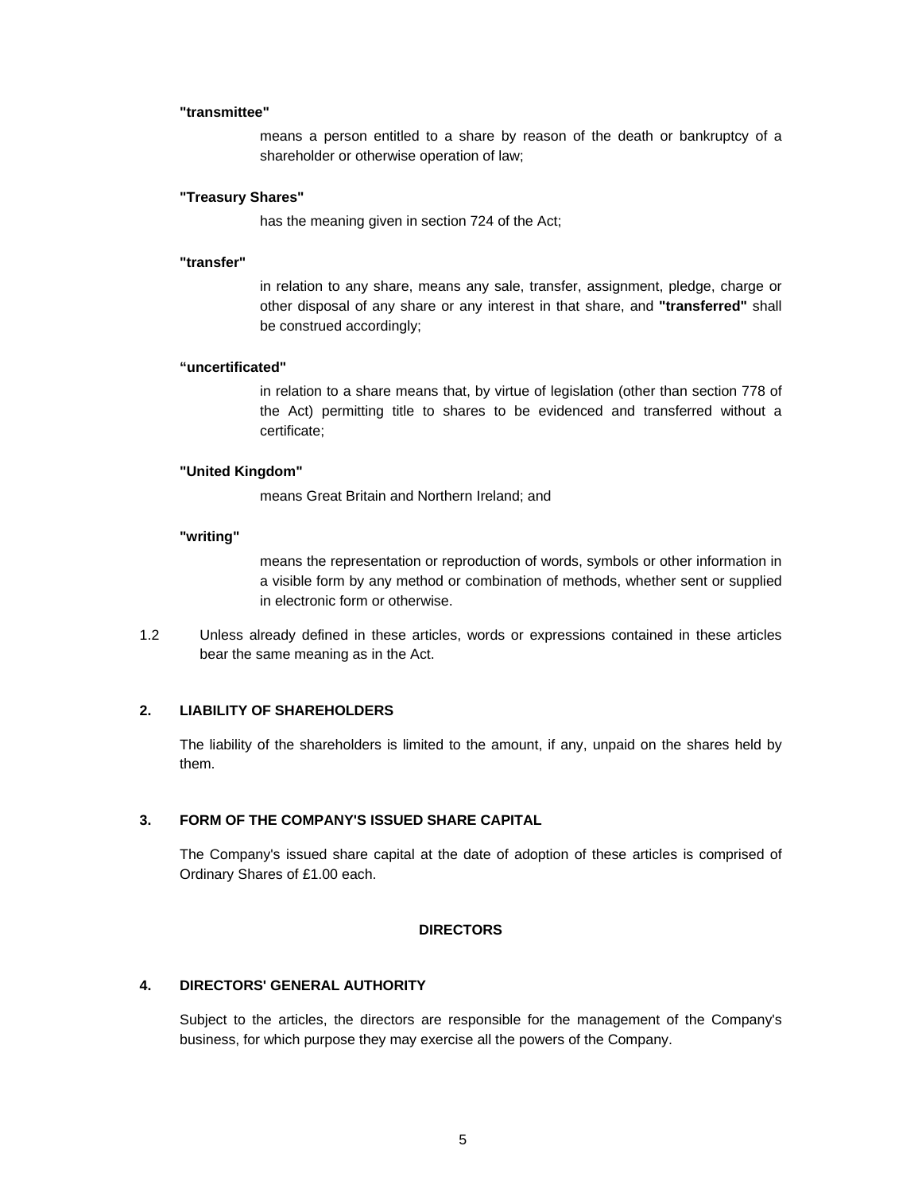### **"transmittee"**

means a person entitled to a share by reason of the death or bankruptcy of a shareholder or otherwise operation of law;

### **"Treasury Shares"**

has the meaning given in section 724 of the Act;

#### **"transfer"**

in relation to any share, means any sale, transfer, assignment, pledge, charge or other disposal of any share or any interest in that share, and **"transferred"** shall be construed accordingly;

### **"uncertificated"**

in relation to a share means that, by virtue of legislation (other than section 778 of the Act) permitting title to shares to be evidenced and transferred without a certificate;

### **"United Kingdom"**

means Great Britain and Northern Ireland; and

### **"writing"**

means the representation or reproduction of words, symbols or other information in a visible form by any method or combination of methods, whether sent or supplied in electronic form or otherwise.

1.2 Unless already defined in these articles, words or expressions contained in these articles bear the same meaning as in the Act.

# **2. LIABILITY OF SHAREHOLDERS**

The liability of the shareholders is limited to the amount, if any, unpaid on the shares held by them.

# **3. FORM OF THE COMPANY'S ISSUED SHARE CAPITAL**

The Company's issued share capital at the date of adoption of these articles is comprised of Ordinary Shares of £1.00 each.

### **DIRECTORS**

# **4. DIRECTORS' GENERAL AUTHORITY**

Subject to the articles, the directors are responsible for the management of the Company's business, for which purpose they may exercise all the powers of the Company.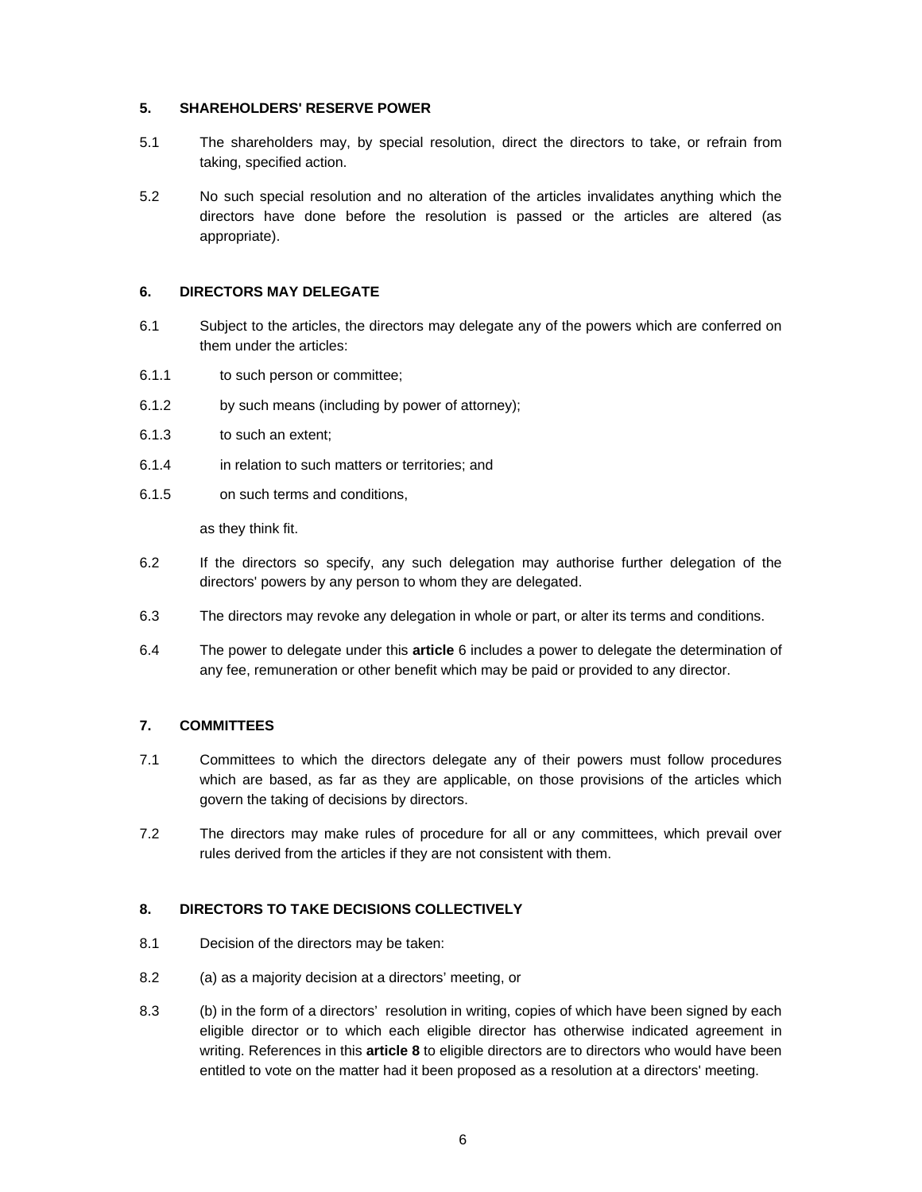# **5. SHAREHOLDERS' RESERVE POWER**

- 5.1 The shareholders may, by special resolution, direct the directors to take, or refrain from taking, specified action.
- 5.2 No such special resolution and no alteration of the articles invalidates anything which the directors have done before the resolution is passed or the articles are altered (as appropriate).

## **6. DIRECTORS MAY DELEGATE**

- 6.1 Subject to the articles, the directors may delegate any of the powers which are conferred on them under the articles:
- 6.1.1 to such person or committee;
- 6.1.2 by such means (including by power of attorney);
- 6.1.3 to such an extent;
- 6.1.4 in relation to such matters or territories; and
- 6.1.5 on such terms and conditions,

as they think fit.

- 6.2 If the directors so specify, any such delegation may authorise further delegation of the directors' powers by any person to whom they are delegated.
- 6.3 The directors may revoke any delegation in whole or part, or alter its terms and conditions.
- 6.4 The power to delegate under this **article** 6 includes a power to delegate the determination of any fee, remuneration or other benefit which may be paid or provided to any director.

### **7. COMMITTEES**

- 7.1 Committees to which the directors delegate any of their powers must follow procedures which are based, as far as they are applicable, on those provisions of the articles which govern the taking of decisions by directors.
- 7.2 The directors may make rules of procedure for all or any committees, which prevail over rules derived from the articles if they are not consistent with them.

# **8. DIRECTORS TO TAKE DECISIONS COLLECTIVELY**

- 8.1 Decision of the directors may be taken:
- 8.2 (a) as a majority decision at a directors' meeting, or
- 8.3 (b) in the form of a directors' resolution in writing, copies of which have been signed by each eligible director or to which each eligible director has otherwise indicated agreement in writing. References in this **article 8** to eligible directors are to directors who would have been entitled to vote on the matter had it been proposed as a resolution at a directors' meeting.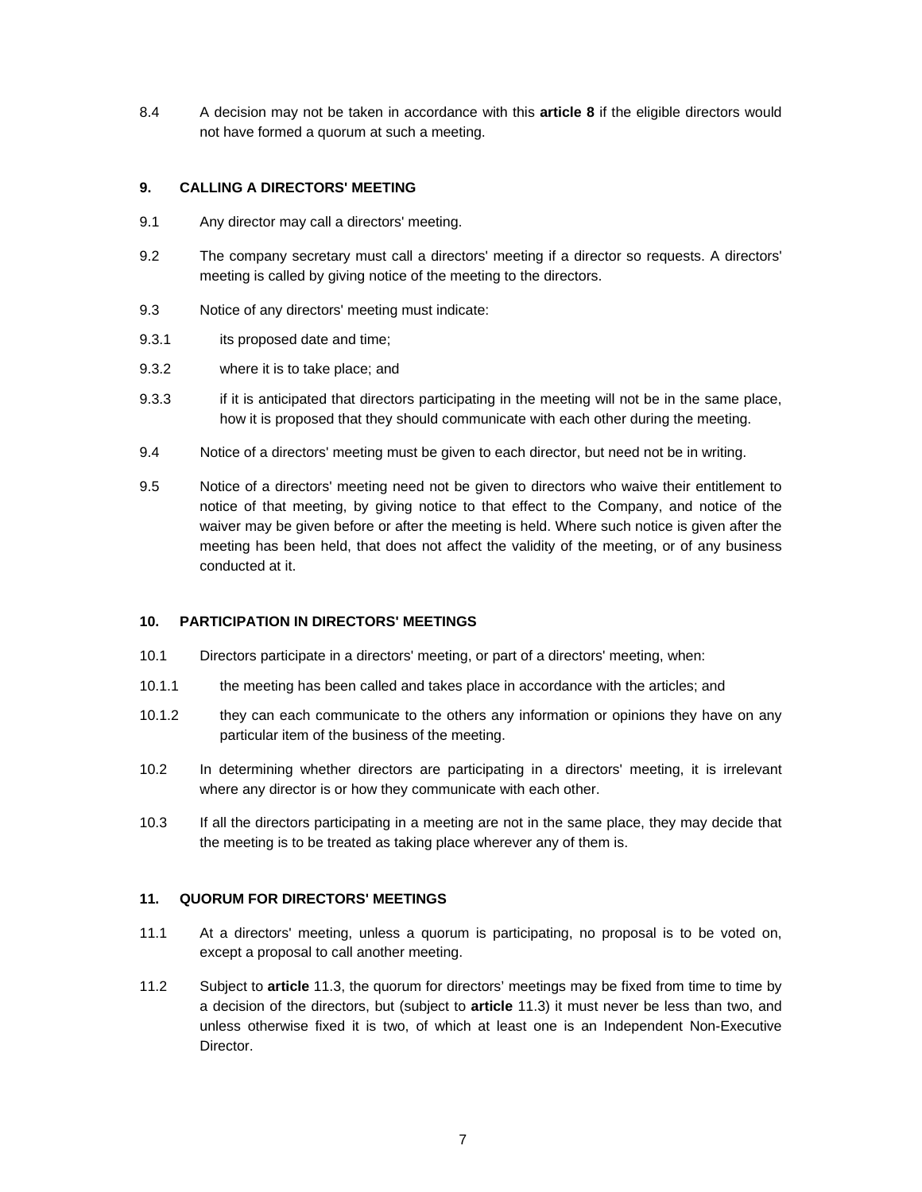8.4 A decision may not be taken in accordance with this **article 8** if the eligible directors would not have formed a quorum at such a meeting.

# **9. CALLING A DIRECTORS' MEETING**

- 9.1 Any director may call a directors' meeting.
- 9.2 The company secretary must call a directors' meeting if a director so requests. A directors' meeting is called by giving notice of the meeting to the directors.
- 9.3 Notice of any directors' meeting must indicate:
- 9.3.1 its proposed date and time;
- 9.3.2 where it is to take place; and
- 9.3.3 if it is anticipated that directors participating in the meeting will not be in the same place, how it is proposed that they should communicate with each other during the meeting.
- 9.4 Notice of a directors' meeting must be given to each director, but need not be in writing.
- 9.5 Notice of a directors' meeting need not be given to directors who waive their entitlement to notice of that meeting, by giving notice to that effect to the Company, and notice of the waiver may be given before or after the meeting is held. Where such notice is given after the meeting has been held, that does not affect the validity of the meeting, or of any business conducted at it.

# **10. PARTICIPATION IN DIRECTORS' MEETINGS**

- 10.1 Directors participate in a directors' meeting, or part of a directors' meeting, when:
- 10.1.1 the meeting has been called and takes place in accordance with the articles; and
- 10.1.2 they can each communicate to the others any information or opinions they have on any particular item of the business of the meeting.
- 10.2 In determining whether directors are participating in a directors' meeting, it is irrelevant where any director is or how they communicate with each other.
- 10.3 If all the directors participating in a meeting are not in the same place, they may decide that the meeting is to be treated as taking place wherever any of them is.

### **11. QUORUM FOR DIRECTORS' MEETINGS**

- 11.1 At a directors' meeting, unless a quorum is participating, no proposal is to be voted on, except a proposal to call another meeting.
- 11.2 Subject to **article** 11.3, the quorum for directors' meetings may be fixed from time to time by a decision of the directors, but (subject to **article** 11.3) it must never be less than two, and unless otherwise fixed it is two, of which at least one is an Independent Non-Executive Director.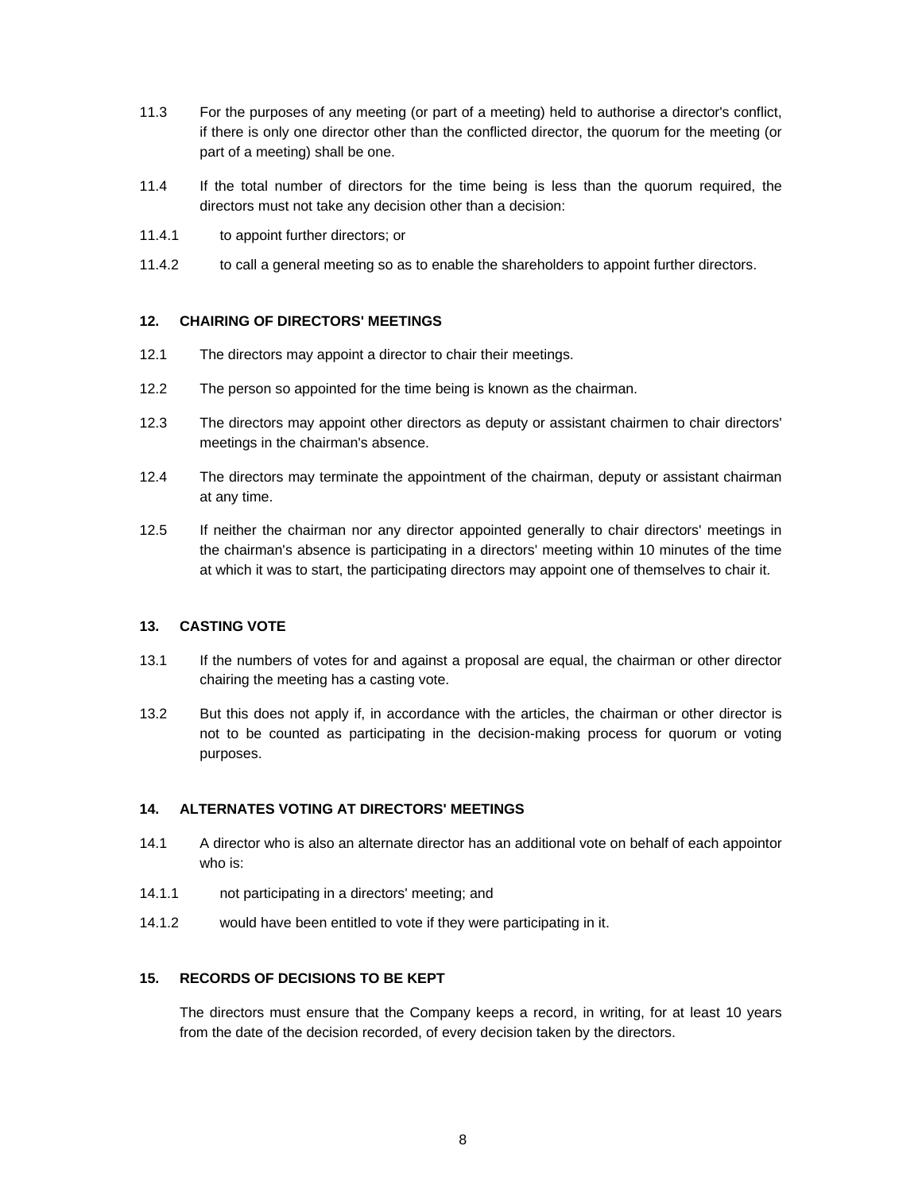- 11.3 For the purposes of any meeting (or part of a meeting) held to authorise a director's conflict, if there is only one director other than the conflicted director, the quorum for the meeting (or part of a meeting) shall be one.
- 11.4 If the total number of directors for the time being is less than the quorum required, the directors must not take any decision other than a decision:
- 11.4.1 to appoint further directors; or
- 11.4.2 to call a general meeting so as to enable the shareholders to appoint further directors.

# **12. CHAIRING OF DIRECTORS' MEETINGS**

- 12.1 The directors may appoint a director to chair their meetings.
- 12.2 The person so appointed for the time being is known as the chairman.
- 12.3 The directors may appoint other directors as deputy or assistant chairmen to chair directors' meetings in the chairman's absence.
- 12.4 The directors may terminate the appointment of the chairman, deputy or assistant chairman at any time.
- 12.5 If neither the chairman nor any director appointed generally to chair directors' meetings in the chairman's absence is participating in a directors' meeting within 10 minutes of the time at which it was to start, the participating directors may appoint one of themselves to chair it.

### **13. CASTING VOTE**

- 13.1 If the numbers of votes for and against a proposal are equal, the chairman or other director chairing the meeting has a casting vote.
- 13.2 But this does not apply if, in accordance with the articles, the chairman or other director is not to be counted as participating in the decision-making process for quorum or voting purposes.

### **14. ALTERNATES VOTING AT DIRECTORS' MEETINGS**

- 14.1 A director who is also an alternate director has an additional vote on behalf of each appointor who is:
- 14.1.1 not participating in a directors' meeting; and
- 14.1.2 would have been entitled to vote if they were participating in it.

### **15. RECORDS OF DECISIONS TO BE KEPT**

The directors must ensure that the Company keeps a record, in writing, for at least 10 years from the date of the decision recorded, of every decision taken by the directors.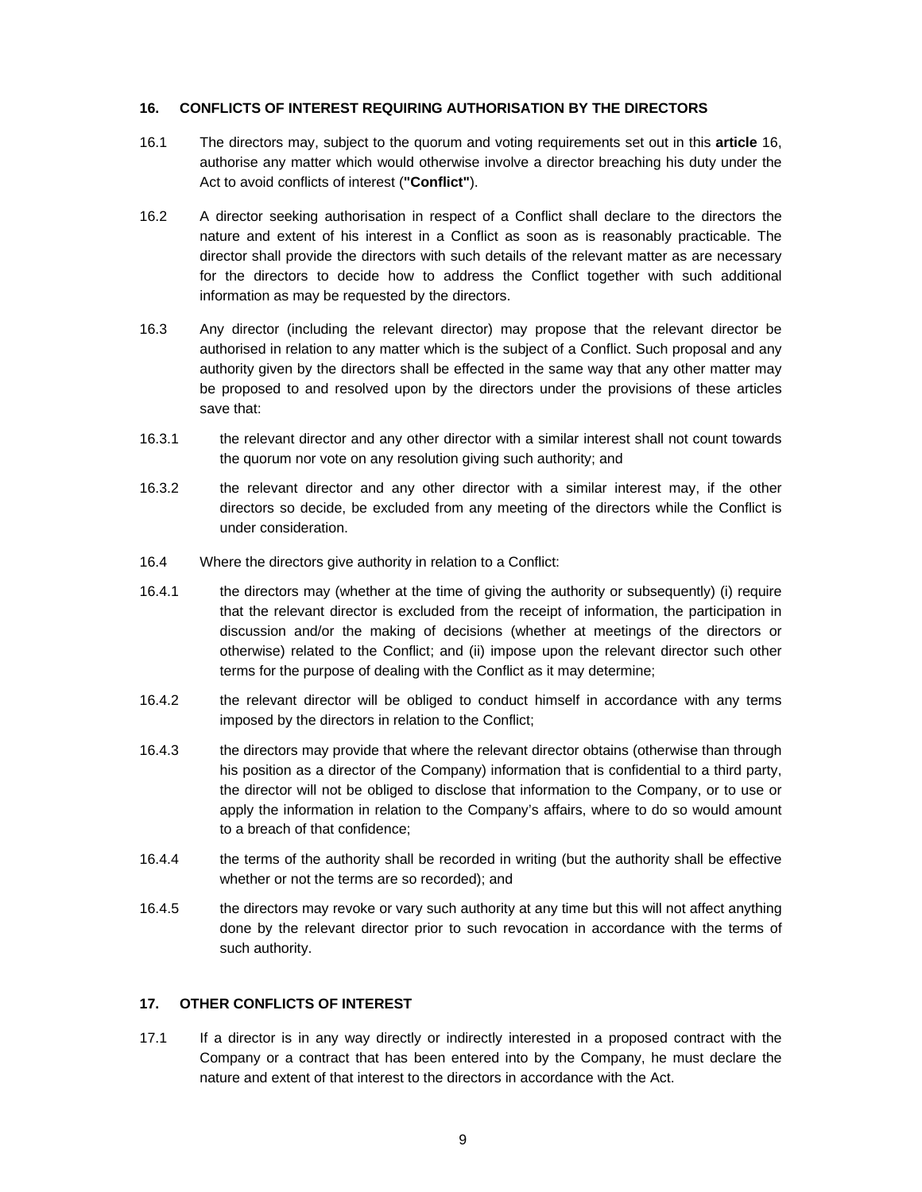## **16. CONFLICTS OF INTEREST REQUIRING AUTHORISATION BY THE DIRECTORS**

- 16.1 The directors may, subject to the quorum and voting requirements set out in this **article** 16, authorise any matter which would otherwise involve a director breaching his duty under the Act to avoid conflicts of interest (**"Conflict"**).
- 16.2 A director seeking authorisation in respect of a Conflict shall declare to the directors the nature and extent of his interest in a Conflict as soon as is reasonably practicable. The director shall provide the directors with such details of the relevant matter as are necessary for the directors to decide how to address the Conflict together with such additional information as may be requested by the directors.
- 16.3 Any director (including the relevant director) may propose that the relevant director be authorised in relation to any matter which is the subject of a Conflict. Such proposal and any authority given by the directors shall be effected in the same way that any other matter may be proposed to and resolved upon by the directors under the provisions of these articles save that:
- 16.3.1 the relevant director and any other director with a similar interest shall not count towards the quorum nor vote on any resolution giving such authority; and
- 16.3.2 the relevant director and any other director with a similar interest may, if the other directors so decide, be excluded from any meeting of the directors while the Conflict is under consideration.
- 16.4 Where the directors give authority in relation to a Conflict:
- 16.4.1 the directors may (whether at the time of giving the authority or subsequently) (i) require that the relevant director is excluded from the receipt of information, the participation in discussion and/or the making of decisions (whether at meetings of the directors or otherwise) related to the Conflict; and (ii) impose upon the relevant director such other terms for the purpose of dealing with the Conflict as it may determine;
- 16.4.2 the relevant director will be obliged to conduct himself in accordance with any terms imposed by the directors in relation to the Conflict;
- 16.4.3 the directors may provide that where the relevant director obtains (otherwise than through his position as a director of the Company) information that is confidential to a third party, the director will not be obliged to disclose that information to the Company, or to use or apply the information in relation to the Company's affairs, where to do so would amount to a breach of that confidence;
- 16.4.4 the terms of the authority shall be recorded in writing (but the authority shall be effective whether or not the terms are so recorded); and
- 16.4.5 the directors may revoke or vary such authority at any time but this will not affect anything done by the relevant director prior to such revocation in accordance with the terms of such authority.

# **17. OTHER CONFLICTS OF INTEREST**

17.1 If a director is in any way directly or indirectly interested in a proposed contract with the Company or a contract that has been entered into by the Company, he must declare the nature and extent of that interest to the directors in accordance with the Act.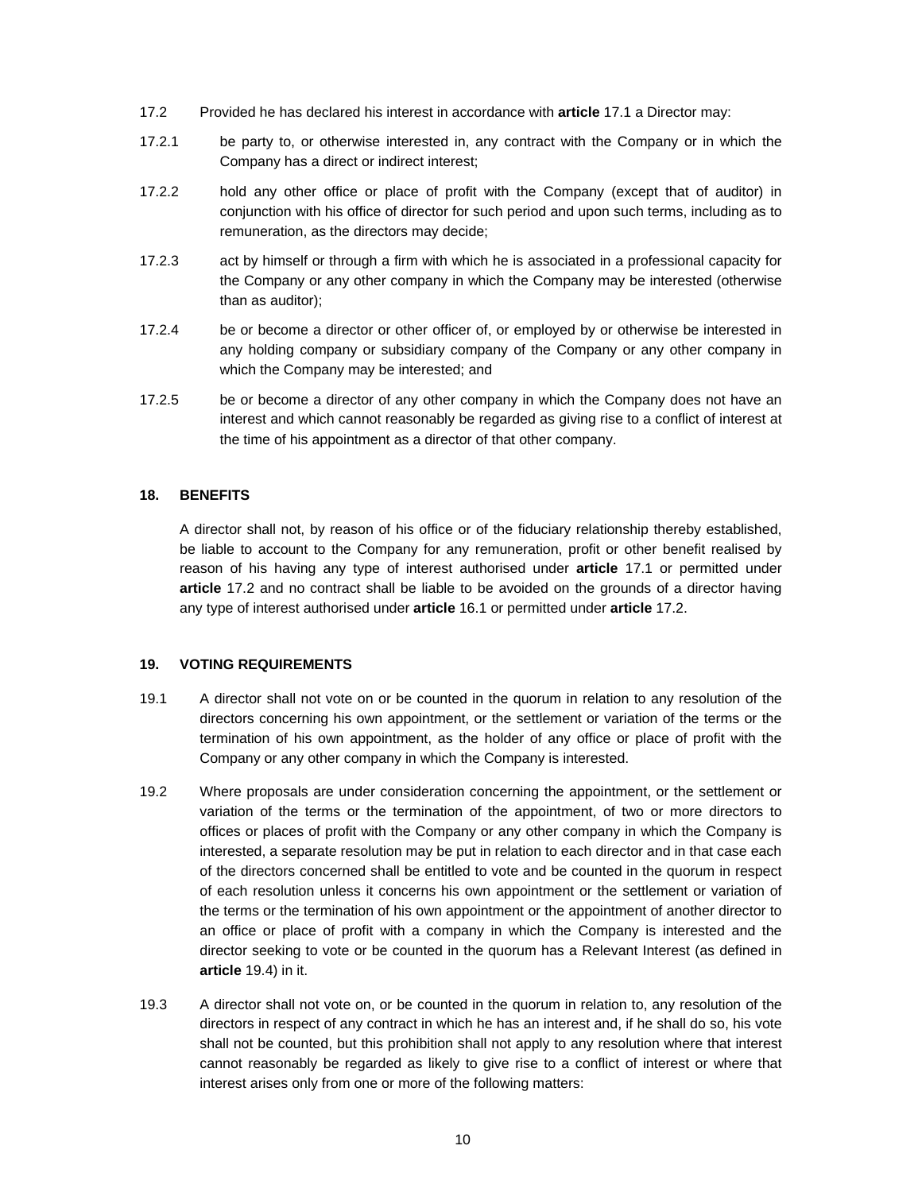- 17.2 Provided he has declared his interest in accordance with **article** 17.1 a Director may:
- 17.2.1 be party to, or otherwise interested in, any contract with the Company or in which the Company has a direct or indirect interest;
- 17.2.2 hold any other office or place of profit with the Company (except that of auditor) in conjunction with his office of director for such period and upon such terms, including as to remuneration, as the directors may decide;
- 17.2.3 act by himself or through a firm with which he is associated in a professional capacity for the Company or any other company in which the Company may be interested (otherwise than as auditor);
- 17.2.4 be or become a director or other officer of, or employed by or otherwise be interested in any holding company or subsidiary company of the Company or any other company in which the Company may be interested; and
- 17.2.5 be or become a director of any other company in which the Company does not have an interest and which cannot reasonably be regarded as giving rise to a conflict of interest at the time of his appointment as a director of that other company.

# **18. BENEFITS**

A director shall not, by reason of his office or of the fiduciary relationship thereby established, be liable to account to the Company for any remuneration, profit or other benefit realised by reason of his having any type of interest authorised under **article** 17.1 or permitted under **article** 17.2 and no contract shall be liable to be avoided on the grounds of a director having any type of interest authorised under **article** 16.1 or permitted under **article** 17.2.

### **19. VOTING REQUIREMENTS**

- 19.1 A director shall not vote on or be counted in the quorum in relation to any resolution of the directors concerning his own appointment, or the settlement or variation of the terms or the termination of his own appointment, as the holder of any office or place of profit with the Company or any other company in which the Company is interested.
- 19.2 Where proposals are under consideration concerning the appointment, or the settlement or variation of the terms or the termination of the appointment, of two or more directors to offices or places of profit with the Company or any other company in which the Company is interested, a separate resolution may be put in relation to each director and in that case each of the directors concerned shall be entitled to vote and be counted in the quorum in respect of each resolution unless it concerns his own appointment or the settlement or variation of the terms or the termination of his own appointment or the appointment of another director to an office or place of profit with a company in which the Company is interested and the director seeking to vote or be counted in the quorum has a Relevant Interest (as defined in **article** 19.4) in it.
- 19.3 A director shall not vote on, or be counted in the quorum in relation to, any resolution of the directors in respect of any contract in which he has an interest and, if he shall do so, his vote shall not be counted, but this prohibition shall not apply to any resolution where that interest cannot reasonably be regarded as likely to give rise to a conflict of interest or where that interest arises only from one or more of the following matters: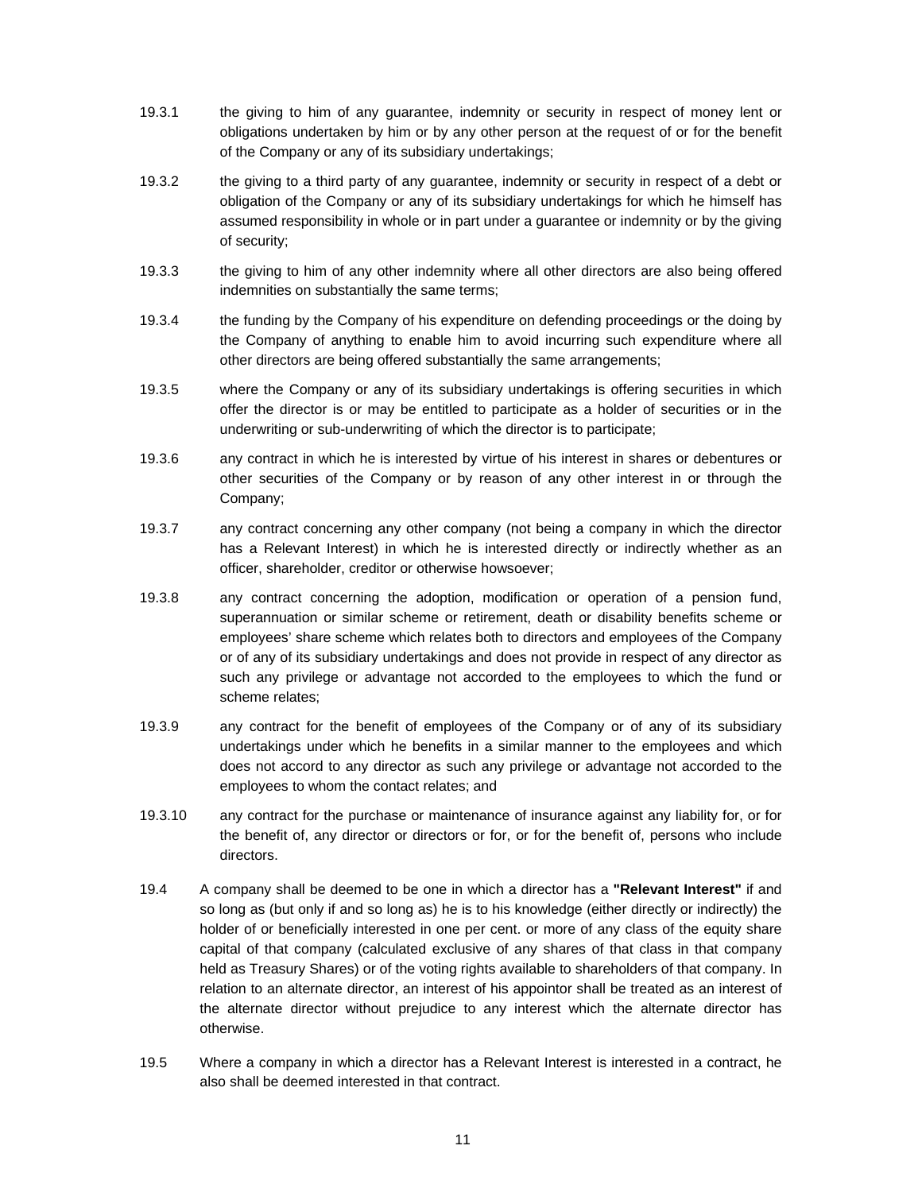- 19.3.1 the giving to him of any guarantee, indemnity or security in respect of money lent or obligations undertaken by him or by any other person at the request of or for the benefit of the Company or any of its subsidiary undertakings;
- 19.3.2 the giving to a third party of any guarantee, indemnity or security in respect of a debt or obligation of the Company or any of its subsidiary undertakings for which he himself has assumed responsibility in whole or in part under a guarantee or indemnity or by the giving of security;
- 19.3.3 the giving to him of any other indemnity where all other directors are also being offered indemnities on substantially the same terms;
- 19.3.4 the funding by the Company of his expenditure on defending proceedings or the doing by the Company of anything to enable him to avoid incurring such expenditure where all other directors are being offered substantially the same arrangements;
- 19.3.5 where the Company or any of its subsidiary undertakings is offering securities in which offer the director is or may be entitled to participate as a holder of securities or in the underwriting or sub-underwriting of which the director is to participate;
- 19.3.6 any contract in which he is interested by virtue of his interest in shares or debentures or other securities of the Company or by reason of any other interest in or through the Company;
- 19.3.7 any contract concerning any other company (not being a company in which the director has a Relevant Interest) in which he is interested directly or indirectly whether as an officer, shareholder, creditor or otherwise howsoever;
- 19.3.8 any contract concerning the adoption, modification or operation of a pension fund, superannuation or similar scheme or retirement, death or disability benefits scheme or employees' share scheme which relates both to directors and employees of the Company or of any of its subsidiary undertakings and does not provide in respect of any director as such any privilege or advantage not accorded to the employees to which the fund or scheme relates;
- 19.3.9 any contract for the benefit of employees of the Company or of any of its subsidiary undertakings under which he benefits in a similar manner to the employees and which does not accord to any director as such any privilege or advantage not accorded to the employees to whom the contact relates; and
- 19.3.10 any contract for the purchase or maintenance of insurance against any liability for, or for the benefit of, any director or directors or for, or for the benefit of, persons who include directors.
- 19.4 A company shall be deemed to be one in which a director has a **"Relevant Interest"** if and so long as (but only if and so long as) he is to his knowledge (either directly or indirectly) the holder of or beneficially interested in one per cent. or more of any class of the equity share capital of that company (calculated exclusive of any shares of that class in that company held as Treasury Shares) or of the voting rights available to shareholders of that company. In relation to an alternate director, an interest of his appointor shall be treated as an interest of the alternate director without prejudice to any interest which the alternate director has otherwise.
- 19.5 Where a company in which a director has a Relevant Interest is interested in a contract, he also shall be deemed interested in that contract.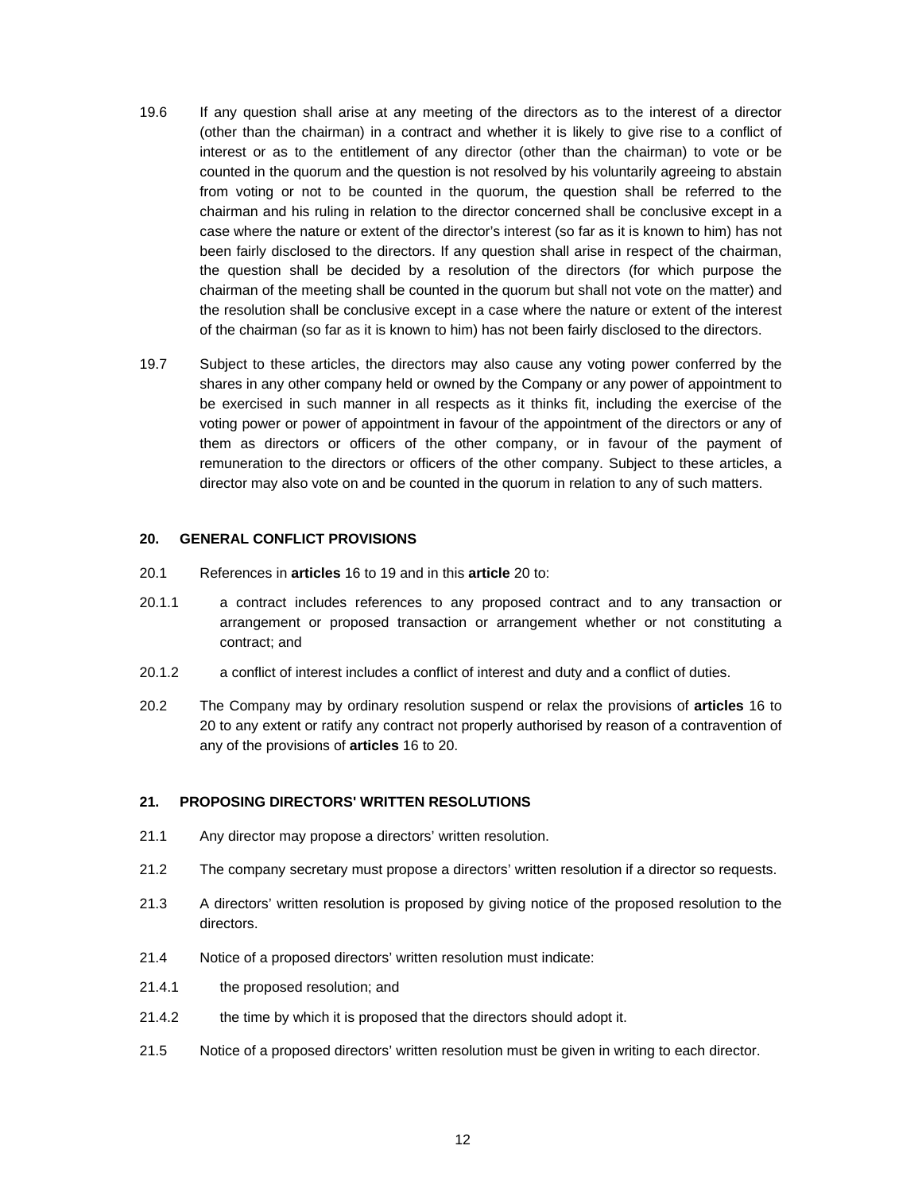- 19.6 If any question shall arise at any meeting of the directors as to the interest of a director (other than the chairman) in a contract and whether it is likely to give rise to a conflict of interest or as to the entitlement of any director (other than the chairman) to vote or be counted in the quorum and the question is not resolved by his voluntarily agreeing to abstain from voting or not to be counted in the quorum, the question shall be referred to the chairman and his ruling in relation to the director concerned shall be conclusive except in a case where the nature or extent of the director's interest (so far as it is known to him) has not been fairly disclosed to the directors. If any question shall arise in respect of the chairman, the question shall be decided by a resolution of the directors (for which purpose the chairman of the meeting shall be counted in the quorum but shall not vote on the matter) and the resolution shall be conclusive except in a case where the nature or extent of the interest of the chairman (so far as it is known to him) has not been fairly disclosed to the directors.
- 19.7 Subject to these articles, the directors may also cause any voting power conferred by the shares in any other company held or owned by the Company or any power of appointment to be exercised in such manner in all respects as it thinks fit, including the exercise of the voting power or power of appointment in favour of the appointment of the directors or any of them as directors or officers of the other company, or in favour of the payment of remuneration to the directors or officers of the other company. Subject to these articles, a director may also vote on and be counted in the quorum in relation to any of such matters.

### **20. GENERAL CONFLICT PROVISIONS**

- 20.1 References in **articles** 16 to 19 and in this **article** 20 to:
- 20.1.1 a contract includes references to any proposed contract and to any transaction or arrangement or proposed transaction or arrangement whether or not constituting a contract; and
- 20.1.2 a conflict of interest includes a conflict of interest and duty and a conflict of duties.
- 20.2 The Company may by ordinary resolution suspend or relax the provisions of **articles** 16 to 20 to any extent or ratify any contract not properly authorised by reason of a contravention of any of the provisions of **articles** 16 to 20.

## **21. PROPOSING DIRECTORS' WRITTEN RESOLUTIONS**

- 21.1 Any director may propose a directors' written resolution.
- 21.2 The company secretary must propose a directors' written resolution if a director so requests.
- 21.3 A directors' written resolution is proposed by giving notice of the proposed resolution to the directors.
- 21.4 Notice of a proposed directors' written resolution must indicate:
- 21.4.1 the proposed resolution; and
- 21.4.2 the time by which it is proposed that the directors should adopt it.
- 21.5 Notice of a proposed directors' written resolution must be given in writing to each director.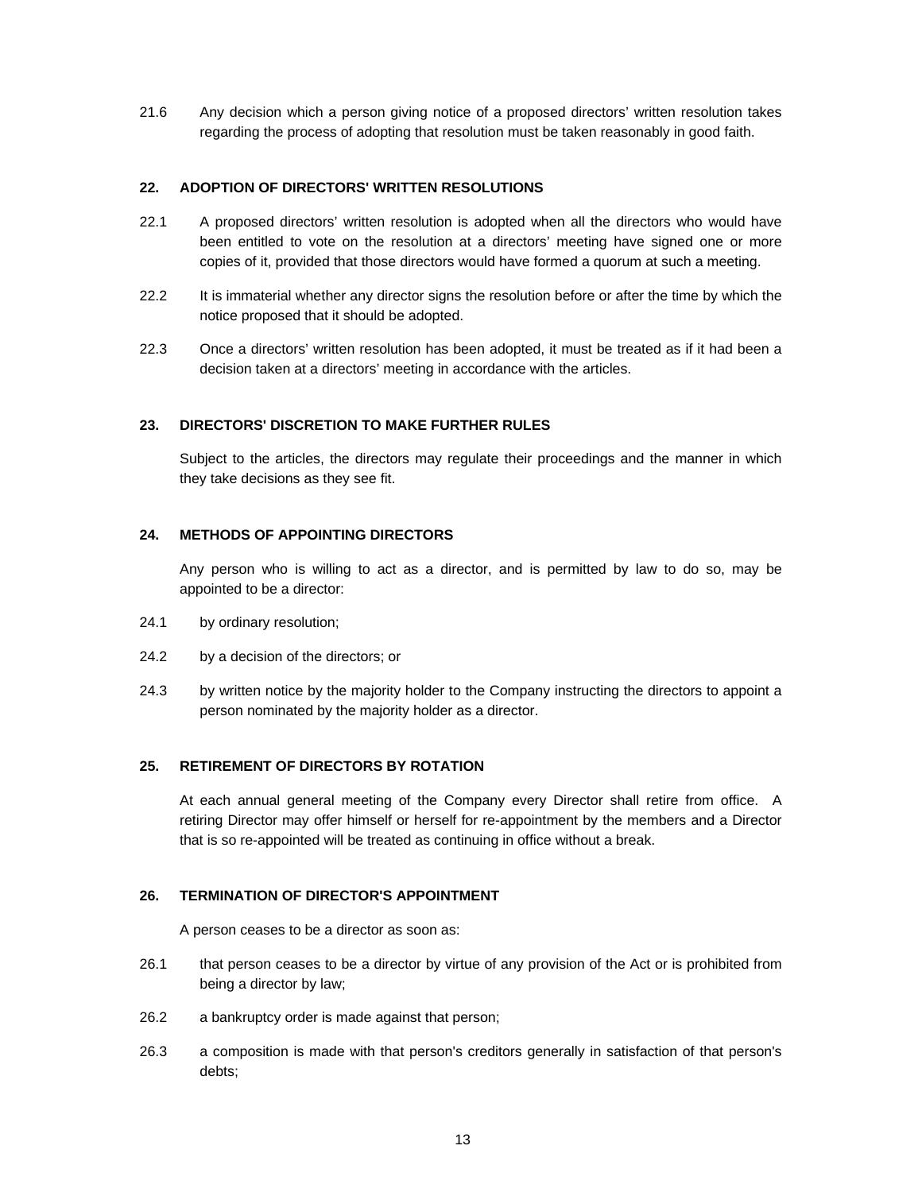21.6 Any decision which a person giving notice of a proposed directors' written resolution takes regarding the process of adopting that resolution must be taken reasonably in good faith.

## **22. ADOPTION OF DIRECTORS' WRITTEN RESOLUTIONS**

- 22.1 A proposed directors' written resolution is adopted when all the directors who would have been entitled to vote on the resolution at a directors' meeting have signed one or more copies of it, provided that those directors would have formed a quorum at such a meeting.
- 22.2 It is immaterial whether any director signs the resolution before or after the time by which the notice proposed that it should be adopted.
- 22.3 Once a directors' written resolution has been adopted, it must be treated as if it had been a decision taken at a directors' meeting in accordance with the articles.

# **23. DIRECTORS' DISCRETION TO MAKE FURTHER RULES**

Subject to the articles, the directors may regulate their proceedings and the manner in which they take decisions as they see fit.

# **24. METHODS OF APPOINTING DIRECTORS**

Any person who is willing to act as a director, and is permitted by law to do so, may be appointed to be a director:

- 24.1 by ordinary resolution;
- 24.2 by a decision of the directors; or
- 24.3 by written notice by the majority holder to the Company instructing the directors to appoint a person nominated by the majority holder as a director.

## **25. RETIREMENT OF DIRECTORS BY ROTATION**

At each annual general meeting of the Company every Director shall retire from office. A retiring Director may offer himself or herself for re-appointment by the members and a Director that is so re-appointed will be treated as continuing in office without a break.

## **26. TERMINATION OF DIRECTOR'S APPOINTMENT**

A person ceases to be a director as soon as:

- 26.1 that person ceases to be a director by virtue of any provision of the Act or is prohibited from being a director by law;
- 26.2 a bankruptcy order is made against that person;
- 26.3 a composition is made with that person's creditors generally in satisfaction of that person's debts;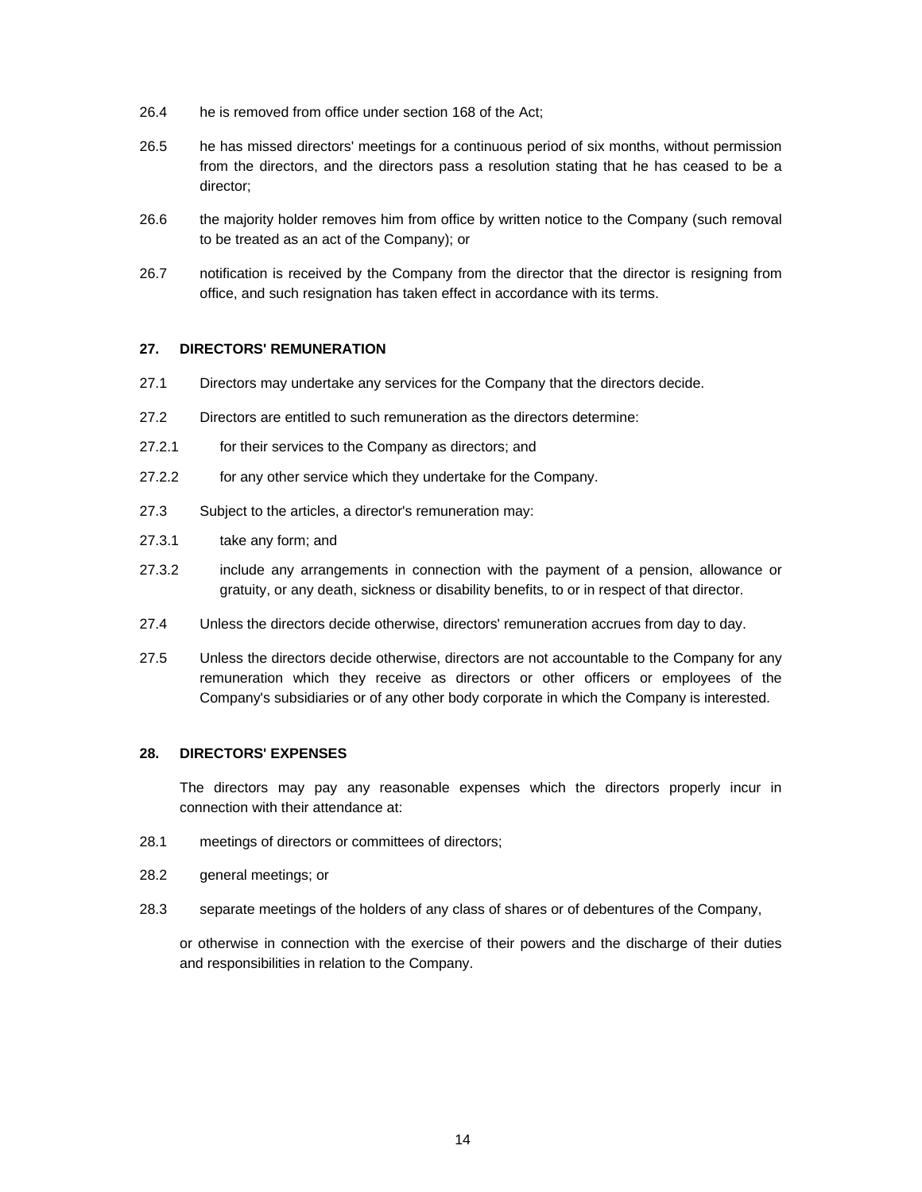- 26.4 he is removed from office under section 168 of the Act;
- 26.5 he has missed directors' meetings for a continuous period of six months, without permission from the directors, and the directors pass a resolution stating that he has ceased to be a director;
- 26.6 the majority holder removes him from office by written notice to the Company (such removal to be treated as an act of the Company); or
- 26.7 notification is received by the Company from the director that the director is resigning from office, and such resignation has taken effect in accordance with its terms.

### **27. DIRECTORS' REMUNERATION**

- 27.1 Directors may undertake any services for the Company that the directors decide.
- 27.2 Directors are entitled to such remuneration as the directors determine:
- 27.2.1 for their services to the Company as directors; and
- 27.2.2 for any other service which they undertake for the Company.
- 27.3 Subject to the articles, a director's remuneration may:
- 27.3.1 take any form; and
- 27.3.2 include any arrangements in connection with the payment of a pension, allowance or gratuity, or any death, sickness or disability benefits, to or in respect of that director.
- 27.4 Unless the directors decide otherwise, directors' remuneration accrues from day to day.
- 27.5 Unless the directors decide otherwise, directors are not accountable to the Company for any remuneration which they receive as directors or other officers or employees of the Company's subsidiaries or of any other body corporate in which the Company is interested.

# **28. DIRECTORS' EXPENSES**

The directors may pay any reasonable expenses which the directors properly incur in connection with their attendance at:

- 28.1 meetings of directors or committees of directors;
- 28.2 general meetings; or
- 28.3 separate meetings of the holders of any class of shares or of debentures of the Company,

or otherwise in connection with the exercise of their powers and the discharge of their duties and responsibilities in relation to the Company.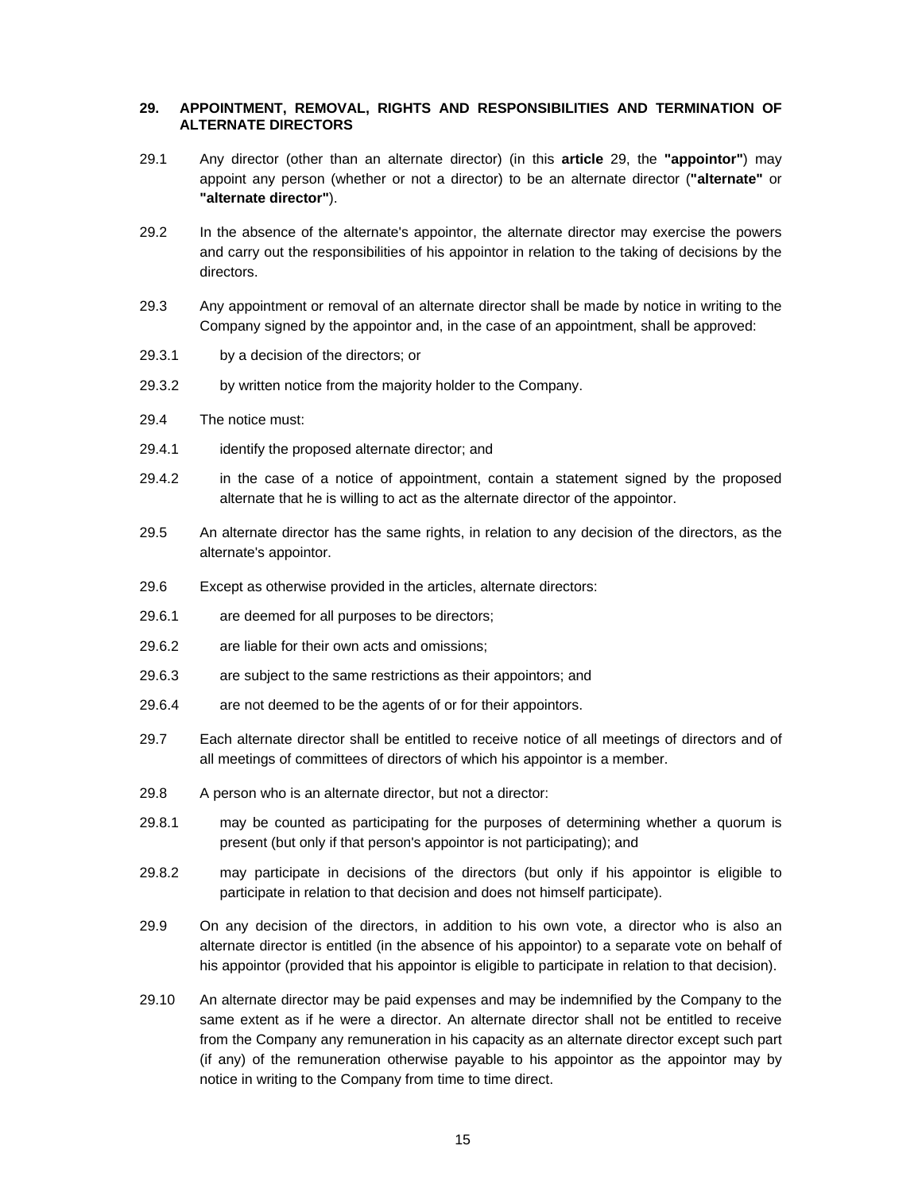## **29. APPOINTMENT, REMOVAL, RIGHTS AND RESPONSIBILITIES AND TERMINATION OF ALTERNATE DIRECTORS**

- 29.1 Any director (other than an alternate director) (in this **article** 29, the **"appointor"**) may appoint any person (whether or not a director) to be an alternate director (**"alternate"** or **"alternate director"**).
- 29.2 In the absence of the alternate's appointor, the alternate director may exercise the powers and carry out the responsibilities of his appointor in relation to the taking of decisions by the directors.
- 29.3 Any appointment or removal of an alternate director shall be made by notice in writing to the Company signed by the appointor and, in the case of an appointment, shall be approved:
- 29.3.1 by a decision of the directors; or
- 29.3.2 by written notice from the majority holder to the Company.
- 29.4 The notice must:
- 29.4.1 identify the proposed alternate director; and
- 29.4.2 in the case of a notice of appointment, contain a statement signed by the proposed alternate that he is willing to act as the alternate director of the appointor.
- 29.5 An alternate director has the same rights, in relation to any decision of the directors, as the alternate's appointor.
- 29.6 Except as otherwise provided in the articles, alternate directors:
- 29.6.1 are deemed for all purposes to be directors;
- 29.6.2 are liable for their own acts and omissions;
- 29.6.3 are subject to the same restrictions as their appointors; and
- 29.6.4 are not deemed to be the agents of or for their appointors.
- 29.7 Each alternate director shall be entitled to receive notice of all meetings of directors and of all meetings of committees of directors of which his appointor is a member.
- 29.8 A person who is an alternate director, but not a director:
- 29.8.1 may be counted as participating for the purposes of determining whether a quorum is present (but only if that person's appointor is not participating); and
- 29.8.2 may participate in decisions of the directors (but only if his appointor is eligible to participate in relation to that decision and does not himself participate).
- 29.9 On any decision of the directors, in addition to his own vote, a director who is also an alternate director is entitled (in the absence of his appointor) to a separate vote on behalf of his appointor (provided that his appointor is eligible to participate in relation to that decision).
- 29.10 An alternate director may be paid expenses and may be indemnified by the Company to the same extent as if he were a director. An alternate director shall not be entitled to receive from the Company any remuneration in his capacity as an alternate director except such part (if any) of the remuneration otherwise payable to his appointor as the appointor may by notice in writing to the Company from time to time direct.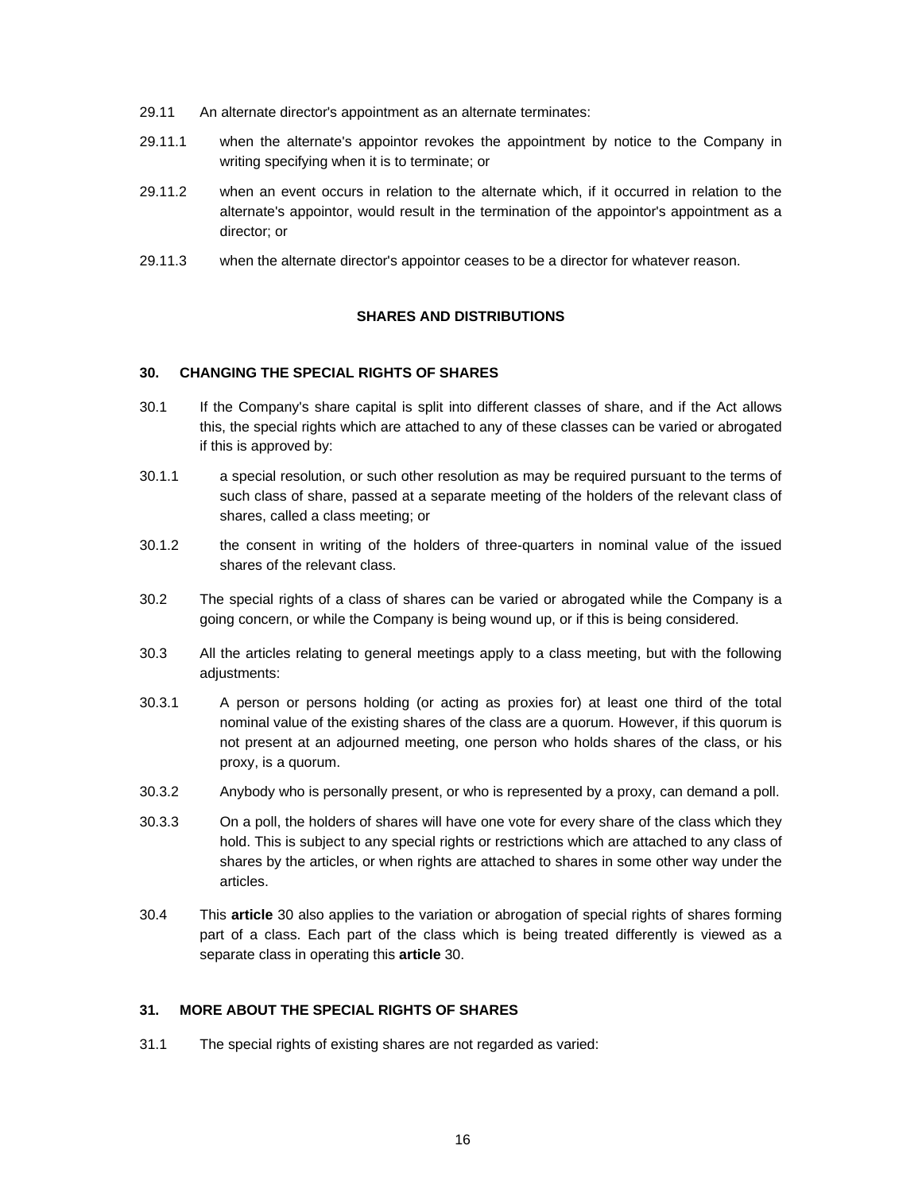- 29.11 An alternate director's appointment as an alternate terminates:
- 29.11.1 when the alternate's appointor revokes the appointment by notice to the Company in writing specifying when it is to terminate; or
- 29.11.2 when an event occurs in relation to the alternate which, if it occurred in relation to the alternate's appointor, would result in the termination of the appointor's appointment as a director; or
- 29.11.3 when the alternate director's appointor ceases to be a director for whatever reason.

# **SHARES AND DISTRIBUTIONS**

# **30. CHANGING THE SPECIAL RIGHTS OF SHARES**

- 30.1 If the Company's share capital is split into different classes of share, and if the Act allows this, the special rights which are attached to any of these classes can be varied or abrogated if this is approved by:
- 30.1.1 a special resolution, or such other resolution as may be required pursuant to the terms of such class of share, passed at a separate meeting of the holders of the relevant class of shares, called a class meeting; or
- 30.1.2 the consent in writing of the holders of three-quarters in nominal value of the issued shares of the relevant class.
- 30.2 The special rights of a class of shares can be varied or abrogated while the Company is a going concern, or while the Company is being wound up, or if this is being considered.
- 30.3 All the articles relating to general meetings apply to a class meeting, but with the following adjustments:
- 30.3.1 A person or persons holding (or acting as proxies for) at least one third of the total nominal value of the existing shares of the class are a quorum. However, if this quorum is not present at an adjourned meeting, one person who holds shares of the class, or his proxy, is a quorum.
- 30.3.2 Anybody who is personally present, or who is represented by a proxy, can demand a poll.
- 30.3.3 On a poll, the holders of shares will have one vote for every share of the class which they hold. This is subject to any special rights or restrictions which are attached to any class of shares by the articles, or when rights are attached to shares in some other way under the articles.
- 30.4 This **article** 30 also applies to the variation or abrogation of special rights of shares forming part of a class. Each part of the class which is being treated differently is viewed as a separate class in operating this **article** 30.

# **31. MORE ABOUT THE SPECIAL RIGHTS OF SHARES**

31.1 The special rights of existing shares are not regarded as varied: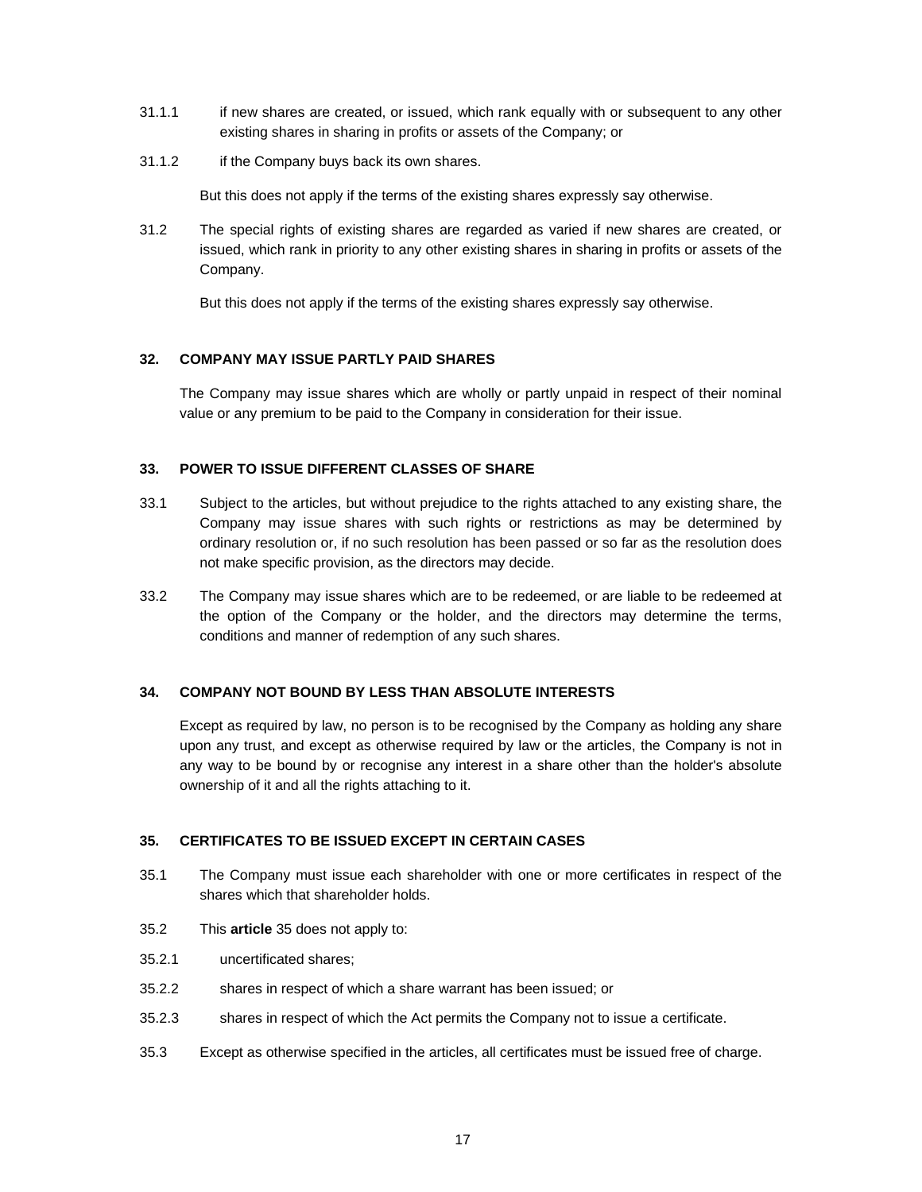- 31.1.1 if new shares are created, or issued, which rank equally with or subsequent to any other existing shares in sharing in profits or assets of the Company; or
- 31.1.2 if the Company buys back its own shares.

But this does not apply if the terms of the existing shares expressly say otherwise.

31.2 The special rights of existing shares are regarded as varied if new shares are created, or issued, which rank in priority to any other existing shares in sharing in profits or assets of the Company.

But this does not apply if the terms of the existing shares expressly say otherwise.

# **32. COMPANY MAY ISSUE PARTLY PAID SHARES**

The Company may issue shares which are wholly or partly unpaid in respect of their nominal value or any premium to be paid to the Company in consideration for their issue.

# **33. POWER TO ISSUE DIFFERENT CLASSES OF SHARE**

- 33.1 Subject to the articles, but without prejudice to the rights attached to any existing share, the Company may issue shares with such rights or restrictions as may be determined by ordinary resolution or, if no such resolution has been passed or so far as the resolution does not make specific provision, as the directors may decide.
- 33.2 The Company may issue shares which are to be redeemed, or are liable to be redeemed at the option of the Company or the holder, and the directors may determine the terms, conditions and manner of redemption of any such shares.

# **34. COMPANY NOT BOUND BY LESS THAN ABSOLUTE INTERESTS**

Except as required by law, no person is to be recognised by the Company as holding any share upon any trust, and except as otherwise required by law or the articles, the Company is not in any way to be bound by or recognise any interest in a share other than the holder's absolute ownership of it and all the rights attaching to it.

### **35. CERTIFICATES TO BE ISSUED EXCEPT IN CERTAIN CASES**

- 35.1 The Company must issue each shareholder with one or more certificates in respect of the shares which that shareholder holds.
- 35.2 This **article** 35 does not apply to:
- 35.2.1 uncertificated shares;
- 35.2.2 shares in respect of which a share warrant has been issued; or
- 35.2.3 shares in respect of which the Act permits the Company not to issue a certificate.
- 35.3 Except as otherwise specified in the articles, all certificates must be issued free of charge.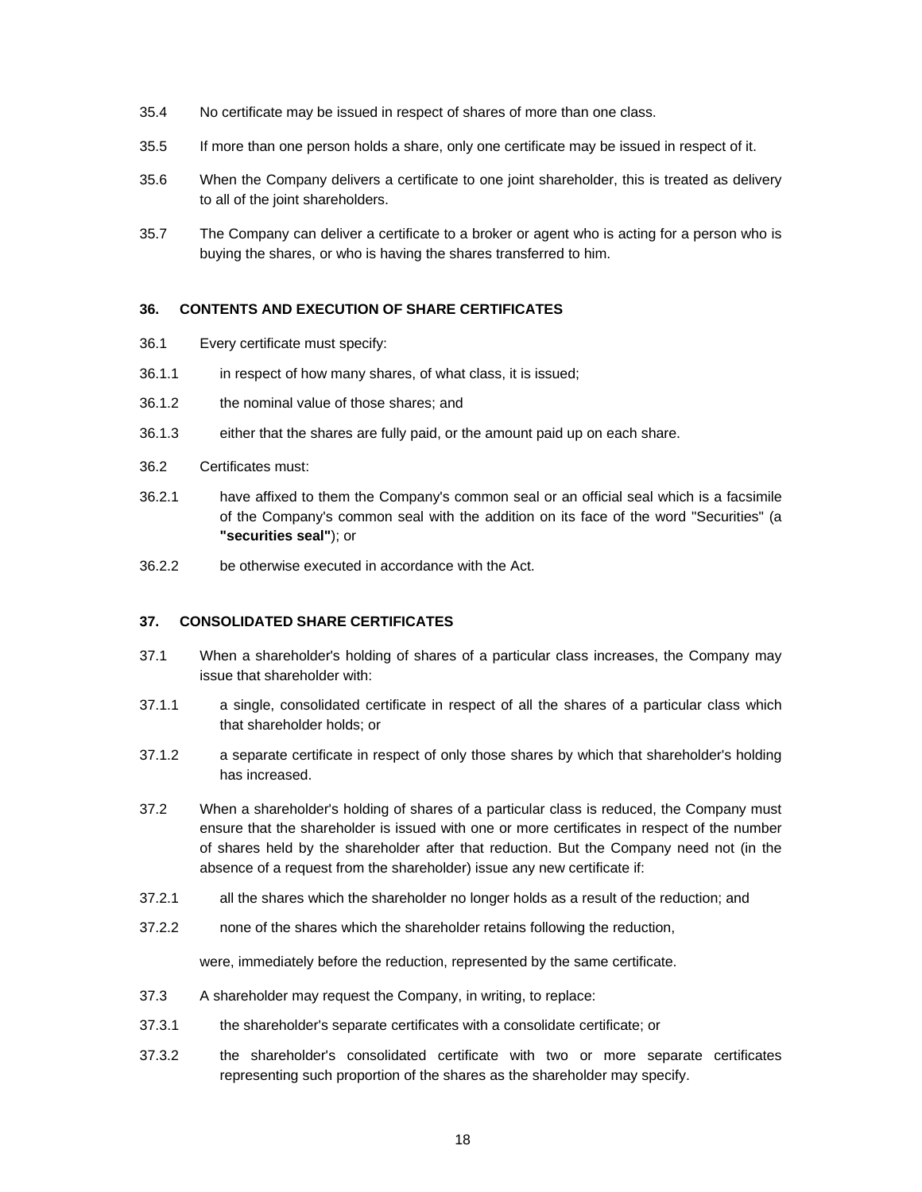- 35.4 No certificate may be issued in respect of shares of more than one class.
- 35.5 If more than one person holds a share, only one certificate may be issued in respect of it.
- 35.6 When the Company delivers a certificate to one joint shareholder, this is treated as delivery to all of the joint shareholders.
- 35.7 The Company can deliver a certificate to a broker or agent who is acting for a person who is buying the shares, or who is having the shares transferred to him.

# **36. CONTENTS AND EXECUTION OF SHARE CERTIFICATES**

- 36.1 Every certificate must specify:
- 36.1.1 in respect of how many shares, of what class, it is issued;
- 36.1.2 the nominal value of those shares; and
- 36.1.3 either that the shares are fully paid, or the amount paid up on each share.
- 36.2 Certificates must:
- 36.2.1 have affixed to them the Company's common seal or an official seal which is a facsimile of the Company's common seal with the addition on its face of the word "Securities" (a **"securities seal"**); or
- 36.2.2 be otherwise executed in accordance with the Act.

### **37. CONSOLIDATED SHARE CERTIFICATES**

- 37.1 When a shareholder's holding of shares of a particular class increases, the Company may issue that shareholder with:
- 37.1.1 a single, consolidated certificate in respect of all the shares of a particular class which that shareholder holds; or
- 37.1.2 a separate certificate in respect of only those shares by which that shareholder's holding has increased.
- 37.2 When a shareholder's holding of shares of a particular class is reduced, the Company must ensure that the shareholder is issued with one or more certificates in respect of the number of shares held by the shareholder after that reduction. But the Company need not (in the absence of a request from the shareholder) issue any new certificate if:
- 37.2.1 all the shares which the shareholder no longer holds as a result of the reduction; and
- 37.2.2 none of the shares which the shareholder retains following the reduction,

were, immediately before the reduction, represented by the same certificate.

- 37.3 A shareholder may request the Company, in writing, to replace:
- 37.3.1 the shareholder's separate certificates with a consolidate certificate; or
- 37.3.2 the shareholder's consolidated certificate with two or more separate certificates representing such proportion of the shares as the shareholder may specify.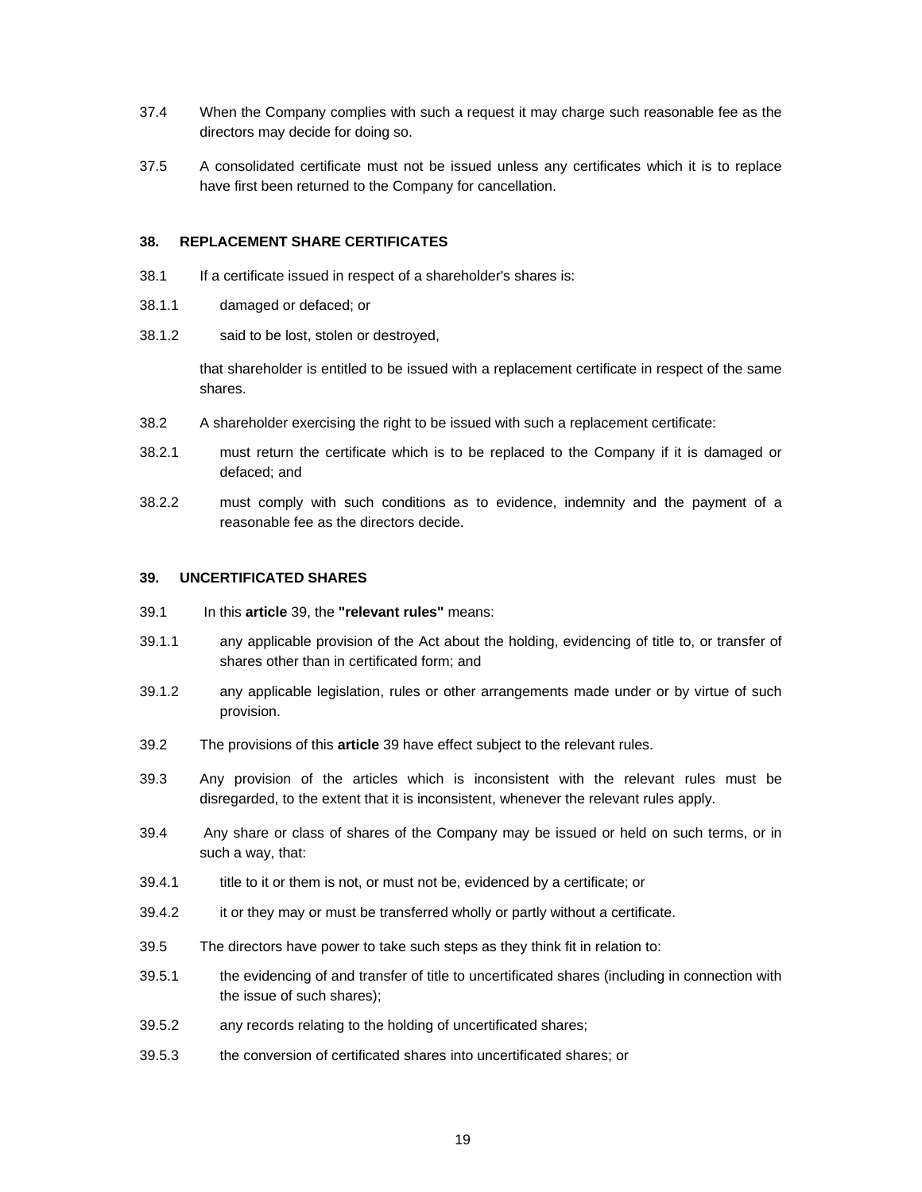- 37.4 When the Company complies with such a request it may charge such reasonable fee as the directors may decide for doing so.
- 37.5 A consolidated certificate must not be issued unless any certificates which it is to replace have first been returned to the Company for cancellation.

# **38. REPLACEMENT SHARE CERTIFICATES**

- 38.1 If a certificate issued in respect of a shareholder's shares is:
- 38.1.1 damaged or defaced; or
- 38.1.2 said to be lost, stolen or destroyed,

that shareholder is entitled to be issued with a replacement certificate in respect of the same shares.

- 38.2 A shareholder exercising the right to be issued with such a replacement certificate:
- 38.2.1 must return the certificate which is to be replaced to the Company if it is damaged or defaced; and
- 38.2.2 must comply with such conditions as to evidence, indemnity and the payment of a reasonable fee as the directors decide.

### **39. UNCERTIFICATED SHARES**

- 39.1 In this **article** 39, the **"relevant rules"** means:
- 39.1.1 any applicable provision of the Act about the holding, evidencing of title to, or transfer of shares other than in certificated form; and
- 39.1.2 any applicable legislation, rules or other arrangements made under or by virtue of such provision.
- 39.2 The provisions of this **article** 39 have effect subject to the relevant rules.
- 39.3 Any provision of the articles which is inconsistent with the relevant rules must be disregarded, to the extent that it is inconsistent, whenever the relevant rules apply.
- 39.4 Any share or class of shares of the Company may be issued or held on such terms, or in such a way, that:
- 39.4.1 title to it or them is not, or must not be, evidenced by a certificate; or
- 39.4.2 it or they may or must be transferred wholly or partly without a certificate.
- 39.5 The directors have power to take such steps as they think fit in relation to:
- 39.5.1 the evidencing of and transfer of title to uncertificated shares (including in connection with the issue of such shares);
- 39.5.2 any records relating to the holding of uncertificated shares;
- 39.5.3 the conversion of certificated shares into uncertificated shares; or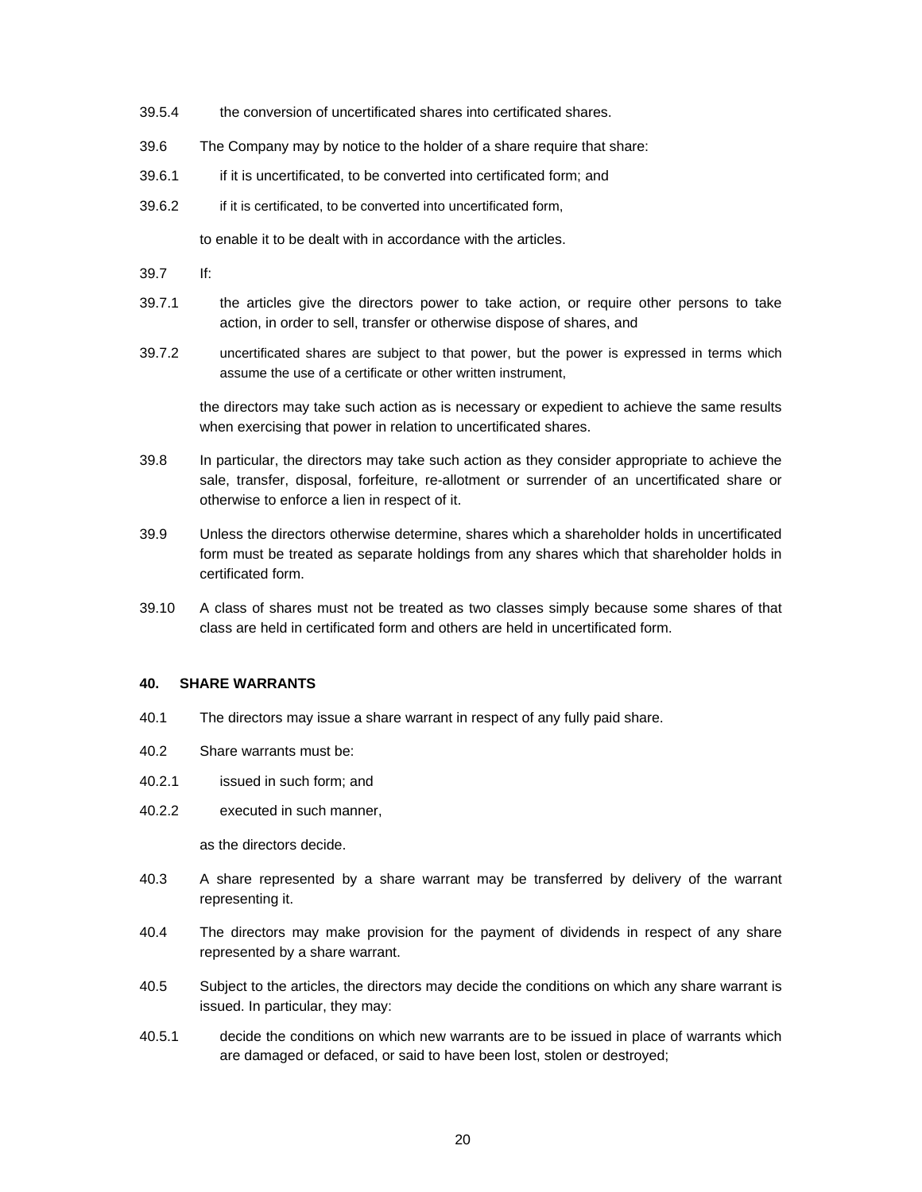- 39.5.4 the conversion of uncertificated shares into certificated shares.
- 39.6 The Company may by notice to the holder of a share require that share:
- 39.6.1 if it is uncertificated, to be converted into certificated form; and
- 39.6.2 if it is certificated, to be converted into uncertificated form,

to enable it to be dealt with in accordance with the articles.

- 39.7 If:
- 39.7.1 the articles give the directors power to take action, or require other persons to take action, in order to sell, transfer or otherwise dispose of shares, and
- 39.7.2 uncertificated shares are subject to that power, but the power is expressed in terms which assume the use of a certificate or other written instrument,

the directors may take such action as is necessary or expedient to achieve the same results when exercising that power in relation to uncertificated shares.

- 39.8 In particular, the directors may take such action as they consider appropriate to achieve the sale, transfer, disposal, forfeiture, re-allotment or surrender of an uncertificated share or otherwise to enforce a lien in respect of it.
- 39.9 Unless the directors otherwise determine, shares which a shareholder holds in uncertificated form must be treated as separate holdings from any shares which that shareholder holds in certificated form.
- 39.10 A class of shares must not be treated as two classes simply because some shares of that class are held in certificated form and others are held in uncertificated form.

#### **40. SHARE WARRANTS**

- 40.1 The directors may issue a share warrant in respect of any fully paid share.
- 40.2 Share warrants must be:
- 40.2.1 issued in such form; and
- 40.2.2 executed in such manner,

as the directors decide.

- 40.3 A share represented by a share warrant may be transferred by delivery of the warrant representing it.
- 40.4 The directors may make provision for the payment of dividends in respect of any share represented by a share warrant.
- 40.5 Subject to the articles, the directors may decide the conditions on which any share warrant is issued. In particular, they may:
- 40.5.1 decide the conditions on which new warrants are to be issued in place of warrants which are damaged or defaced, or said to have been lost, stolen or destroyed;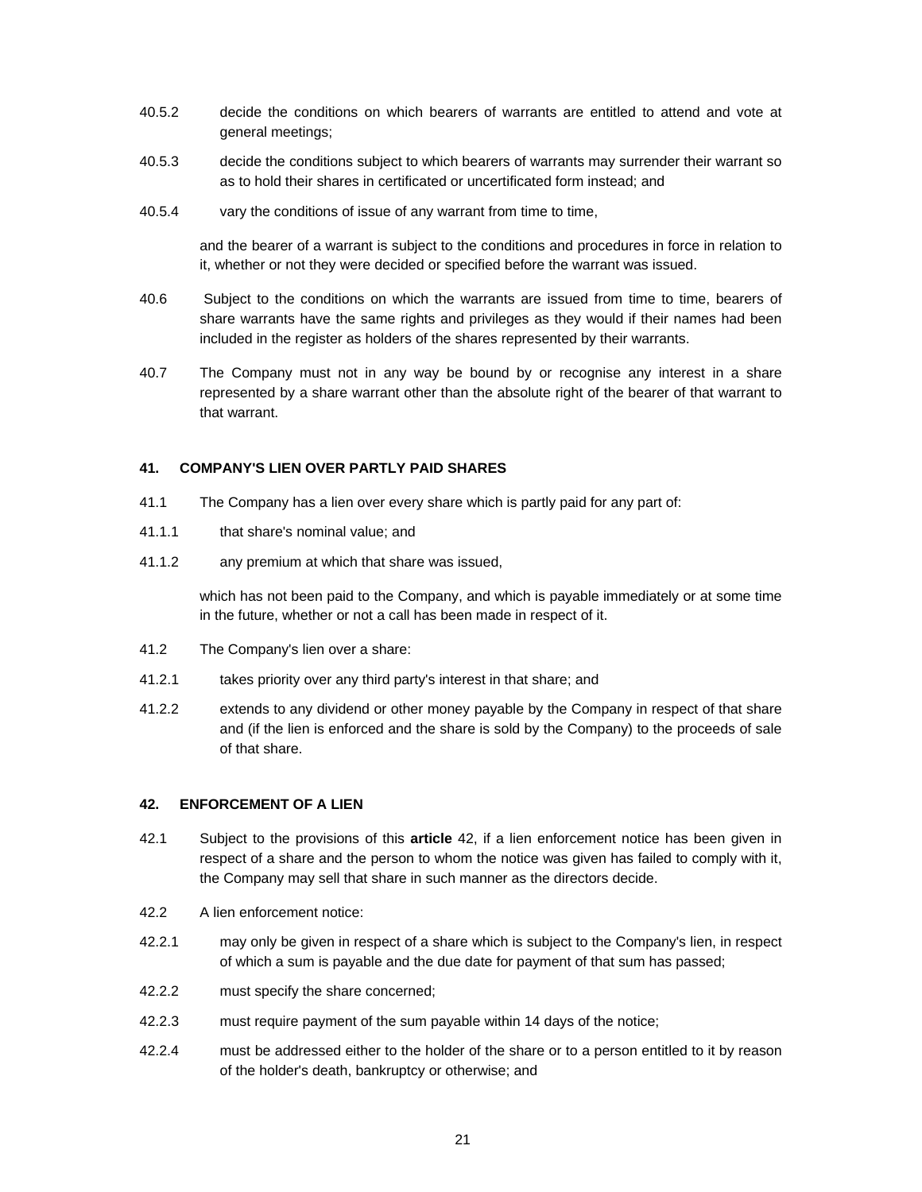- 40.5.2 decide the conditions on which bearers of warrants are entitled to attend and vote at general meetings;
- 40.5.3 decide the conditions subject to which bearers of warrants may surrender their warrant so as to hold their shares in certificated or uncertificated form instead; and
- 40.5.4 vary the conditions of issue of any warrant from time to time,

and the bearer of a warrant is subject to the conditions and procedures in force in relation to it, whether or not they were decided or specified before the warrant was issued.

- 40.6 Subject to the conditions on which the warrants are issued from time to time, bearers of share warrants have the same rights and privileges as they would if their names had been included in the register as holders of the shares represented by their warrants.
- 40.7 The Company must not in any way be bound by or recognise any interest in a share represented by a share warrant other than the absolute right of the bearer of that warrant to that warrant.

# **41. COMPANY'S LIEN OVER PARTLY PAID SHARES**

- 41.1 The Company has a lien over every share which is partly paid for any part of:
- 41.1.1 that share's nominal value; and
- 41.1.2 any premium at which that share was issued,

which has not been paid to the Company, and which is payable immediately or at some time in the future, whether or not a call has been made in respect of it.

- 41.2 The Company's lien over a share:
- 41.2.1 takes priority over any third party's interest in that share; and
- 41.2.2 extends to any dividend or other money payable by the Company in respect of that share and (if the lien is enforced and the share is sold by the Company) to the proceeds of sale of that share.

# **42. ENFORCEMENT OF A LIEN**

- 42.1 Subject to the provisions of this **article** 42, if a lien enforcement notice has been given in respect of a share and the person to whom the notice was given has failed to comply with it, the Company may sell that share in such manner as the directors decide.
- 42.2 A lien enforcement notice:
- 42.2.1 may only be given in respect of a share which is subject to the Company's lien, in respect of which a sum is payable and the due date for payment of that sum has passed;
- 42.2.2 must specify the share concerned;
- 42.2.3 must require payment of the sum payable within 14 days of the notice;
- 42.2.4 must be addressed either to the holder of the share or to a person entitled to it by reason of the holder's death, bankruptcy or otherwise; and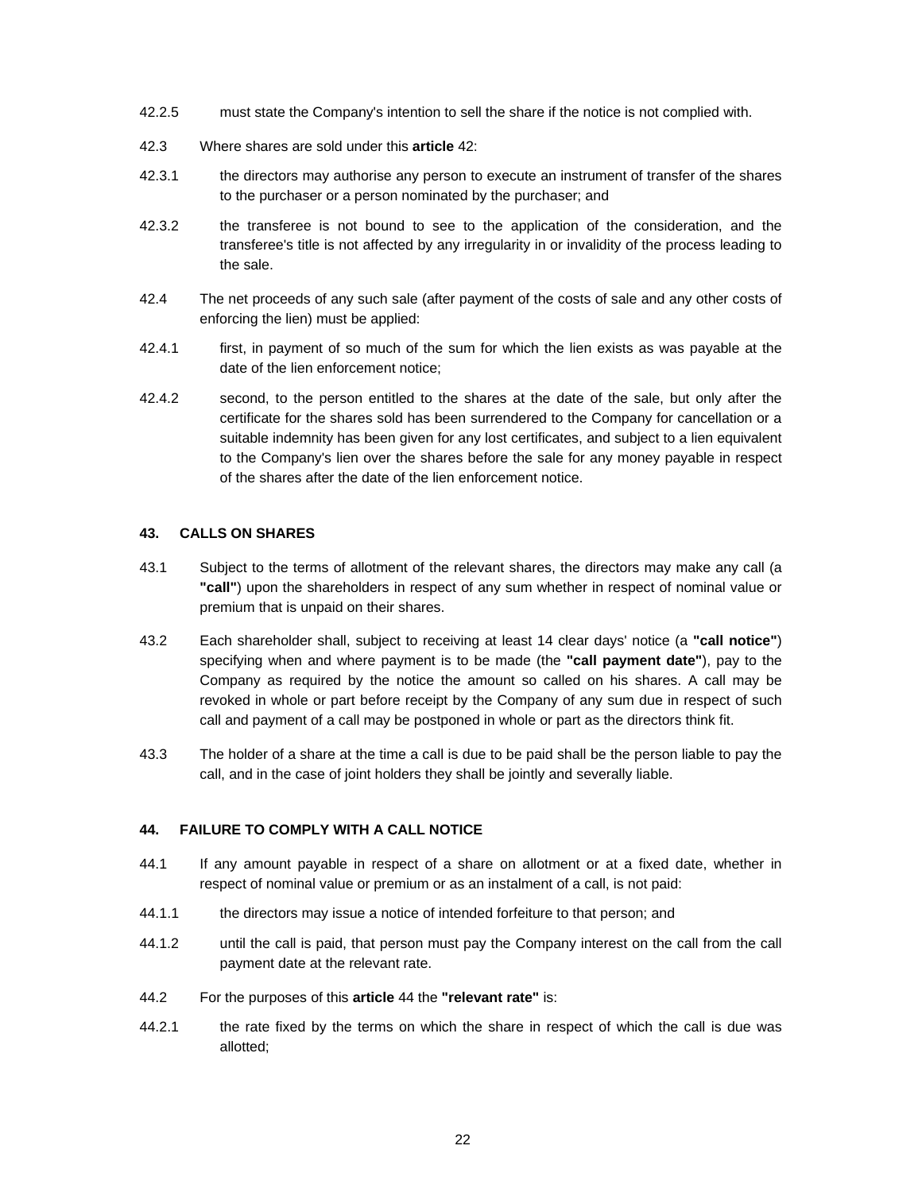- 42.2.5 must state the Company's intention to sell the share if the notice is not complied with.
- 42.3 Where shares are sold under this **article** 42:
- 42.3.1 the directors may authorise any person to execute an instrument of transfer of the shares to the purchaser or a person nominated by the purchaser; and
- 42.3.2 the transferee is not bound to see to the application of the consideration, and the transferee's title is not affected by any irregularity in or invalidity of the process leading to the sale.
- 42.4 The net proceeds of any such sale (after payment of the costs of sale and any other costs of enforcing the lien) must be applied:
- 42.4.1 first, in payment of so much of the sum for which the lien exists as was payable at the date of the lien enforcement notice;
- 42.4.2 second, to the person entitled to the shares at the date of the sale, but only after the certificate for the shares sold has been surrendered to the Company for cancellation or a suitable indemnity has been given for any lost certificates, and subject to a lien equivalent to the Company's lien over the shares before the sale for any money payable in respect of the shares after the date of the lien enforcement notice.

# **43. CALLS ON SHARES**

- 43.1 Subject to the terms of allotment of the relevant shares, the directors may make any call (a **"call"**) upon the shareholders in respect of any sum whether in respect of nominal value or premium that is unpaid on their shares.
- 43.2 Each shareholder shall, subject to receiving at least 14 clear days' notice (a **"call notice"**) specifying when and where payment is to be made (the **"call payment date"**), pay to the Company as required by the notice the amount so called on his shares. A call may be revoked in whole or part before receipt by the Company of any sum due in respect of such call and payment of a call may be postponed in whole or part as the directors think fit.
- 43.3 The holder of a share at the time a call is due to be paid shall be the person liable to pay the call, and in the case of joint holders they shall be jointly and severally liable.

# **44. FAILURE TO COMPLY WITH A CALL NOTICE**

- 44.1 If any amount payable in respect of a share on allotment or at a fixed date, whether in respect of nominal value or premium or as an instalment of a call, is not paid:
- 44.1.1 the directors may issue a notice of intended forfeiture to that person; and
- 44.1.2 until the call is paid, that person must pay the Company interest on the call from the call payment date at the relevant rate.
- 44.2 For the purposes of this **article** 44 the **"relevant rate"** is:
- 44.2.1 the rate fixed by the terms on which the share in respect of which the call is due was allotted;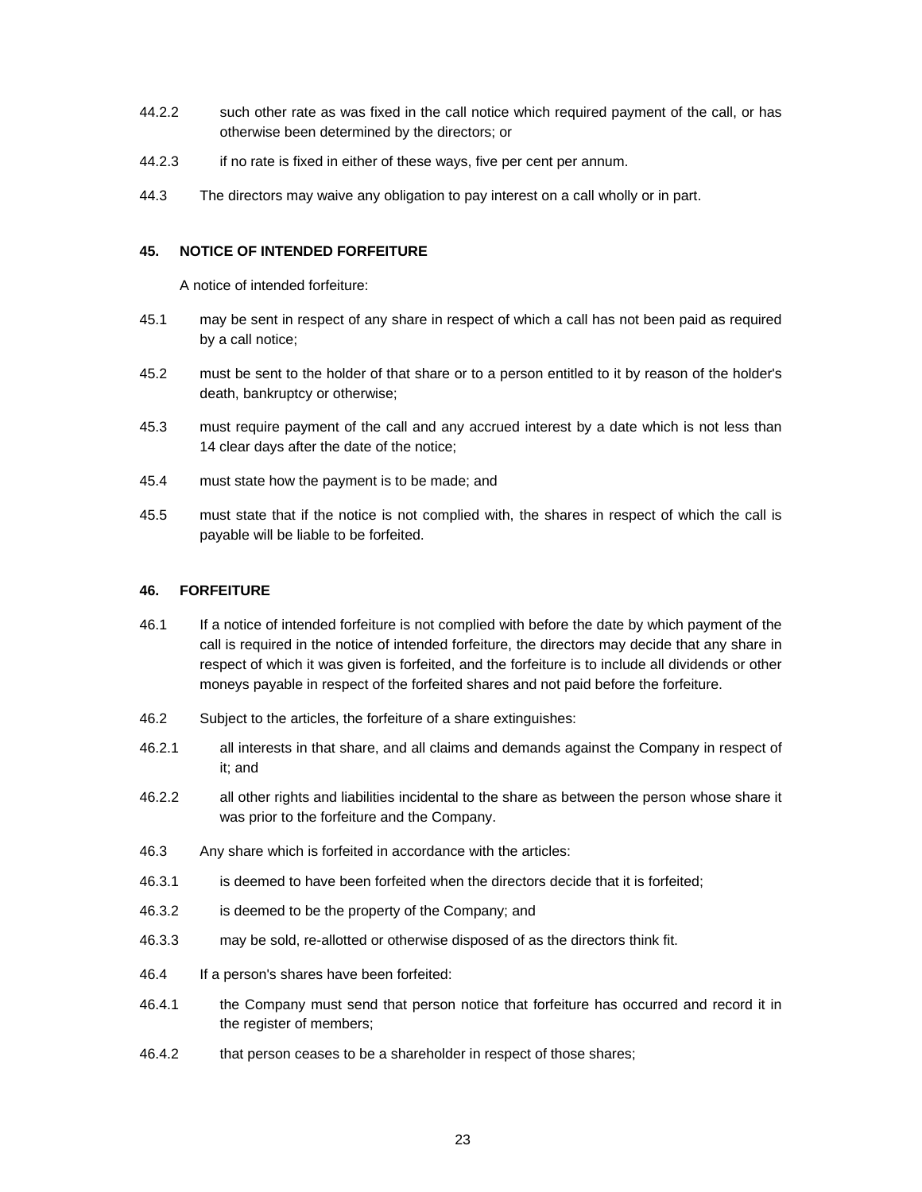- 44.2.2 such other rate as was fixed in the call notice which required payment of the call, or has otherwise been determined by the directors; or
- 44.2.3 if no rate is fixed in either of these ways, five per cent per annum.
- 44.3 The directors may waive any obligation to pay interest on a call wholly or in part.

# **45. NOTICE OF INTENDED FORFEITURE**

A notice of intended forfeiture:

- 45.1 may be sent in respect of any share in respect of which a call has not been paid as required by a call notice;
- 45.2 must be sent to the holder of that share or to a person entitled to it by reason of the holder's death, bankruptcy or otherwise;
- 45.3 must require payment of the call and any accrued interest by a date which is not less than 14 clear days after the date of the notice;
- 45.4 must state how the payment is to be made; and
- 45.5 must state that if the notice is not complied with, the shares in respect of which the call is payable will be liable to be forfeited.

# **46. FORFEITURE**

- 46.1 If a notice of intended forfeiture is not complied with before the date by which payment of the call is required in the notice of intended forfeiture, the directors may decide that any share in respect of which it was given is forfeited, and the forfeiture is to include all dividends or other moneys payable in respect of the forfeited shares and not paid before the forfeiture.
- 46.2 Subject to the articles, the forfeiture of a share extinguishes:
- 46.2.1 all interests in that share, and all claims and demands against the Company in respect of it; and
- 46.2.2 all other rights and liabilities incidental to the share as between the person whose share it was prior to the forfeiture and the Company.
- 46.3 Any share which is forfeited in accordance with the articles:
- 46.3.1 is deemed to have been forfeited when the directors decide that it is forfeited;
- 46.3.2 is deemed to be the property of the Company; and
- 46.3.3 may be sold, re-allotted or otherwise disposed of as the directors think fit.
- 46.4 If a person's shares have been forfeited:
- 46.4.1 the Company must send that person notice that forfeiture has occurred and record it in the register of members;
- 46.4.2 that person ceases to be a shareholder in respect of those shares;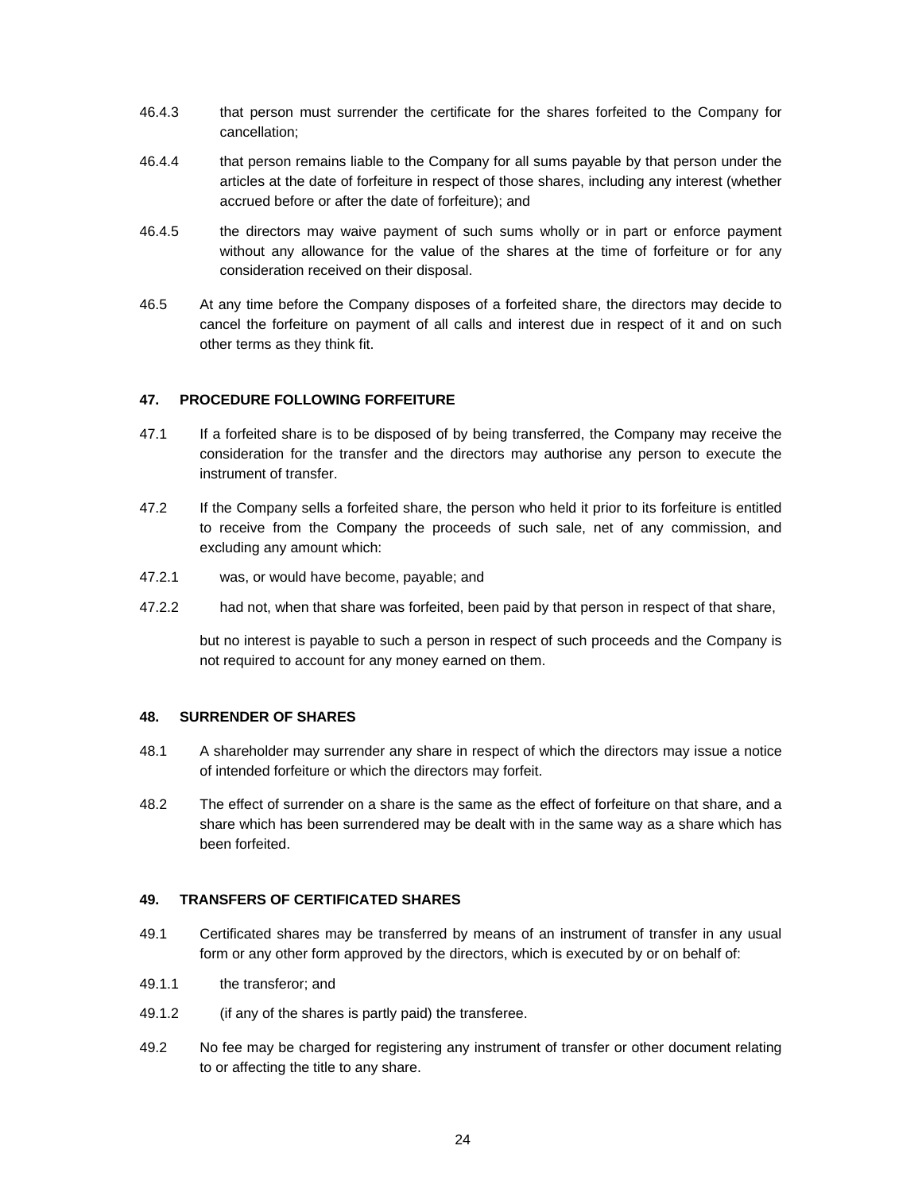- 46.4.3 that person must surrender the certificate for the shares forfeited to the Company for cancellation;
- 46.4.4 that person remains liable to the Company for all sums payable by that person under the articles at the date of forfeiture in respect of those shares, including any interest (whether accrued before or after the date of forfeiture); and
- 46.4.5 the directors may waive payment of such sums wholly or in part or enforce payment without any allowance for the value of the shares at the time of forfeiture or for any consideration received on their disposal.
- 46.5 At any time before the Company disposes of a forfeited share, the directors may decide to cancel the forfeiture on payment of all calls and interest due in respect of it and on such other terms as they think fit.

# **47. PROCEDURE FOLLOWING FORFEITURE**

- 47.1 If a forfeited share is to be disposed of by being transferred, the Company may receive the consideration for the transfer and the directors may authorise any person to execute the instrument of transfer.
- 47.2 If the Company sells a forfeited share, the person who held it prior to its forfeiture is entitled to receive from the Company the proceeds of such sale, net of any commission, and excluding any amount which:
- 47.2.1 was, or would have become, payable; and
- 47.2.2 had not, when that share was forfeited, been paid by that person in respect of that share,

but no interest is payable to such a person in respect of such proceeds and the Company is not required to account for any money earned on them.

# **48. SURRENDER OF SHARES**

- 48.1 A shareholder may surrender any share in respect of which the directors may issue a notice of intended forfeiture or which the directors may forfeit.
- 48.2 The effect of surrender on a share is the same as the effect of forfeiture on that share, and a share which has been surrendered may be dealt with in the same way as a share which has been forfeited.

### **49. TRANSFERS OF CERTIFICATED SHARES**

- 49.1 Certificated shares may be transferred by means of an instrument of transfer in any usual form or any other form approved by the directors, which is executed by or on behalf of:
- 49.1.1 the transferor; and
- 49.1.2 (if any of the shares is partly paid) the transferee.
- 49.2 No fee may be charged for registering any instrument of transfer or other document relating to or affecting the title to any share.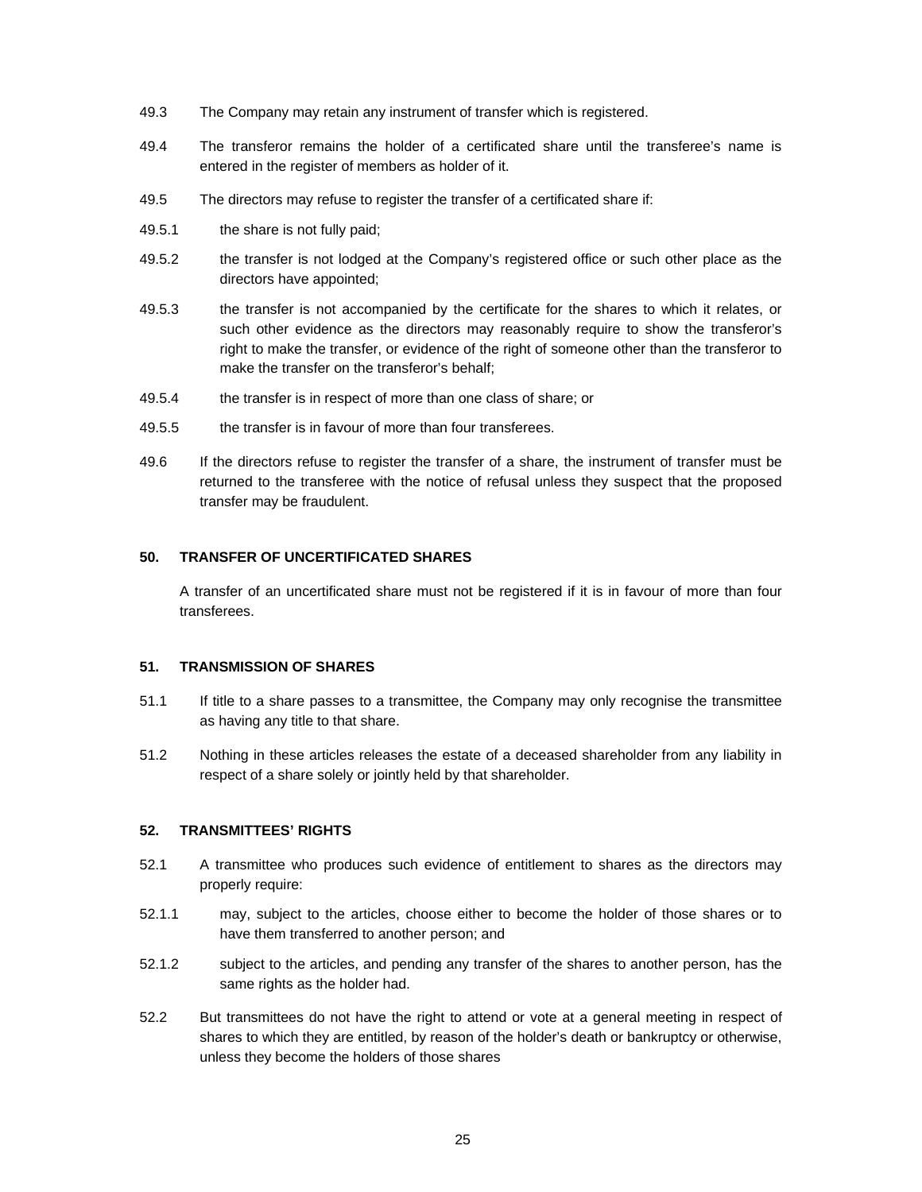- 49.3 The Company may retain any instrument of transfer which is registered.
- 49.4 The transferor remains the holder of a certificated share until the transferee's name is entered in the register of members as holder of it.
- 49.5 The directors may refuse to register the transfer of a certificated share if:
- 49.5.1 the share is not fully paid;
- 49.5.2 the transfer is not lodged at the Company's registered office or such other place as the directors have appointed;
- 49.5.3 the transfer is not accompanied by the certificate for the shares to which it relates, or such other evidence as the directors may reasonably require to show the transferor's right to make the transfer, or evidence of the right of someone other than the transferor to make the transfer on the transferor's behalf;
- 49.5.4 the transfer is in respect of more than one class of share; or
- 49.5.5 the transfer is in favour of more than four transferees.
- 49.6 If the directors refuse to register the transfer of a share, the instrument of transfer must be returned to the transferee with the notice of refusal unless they suspect that the proposed transfer may be fraudulent.

## **50. TRANSFER OF UNCERTIFICATED SHARES**

A transfer of an uncertificated share must not be registered if it is in favour of more than four transferees.

#### **51. TRANSMISSION OF SHARES**

- 51.1 If title to a share passes to a transmittee, the Company may only recognise the transmittee as having any title to that share.
- 51.2 Nothing in these articles releases the estate of a deceased shareholder from any liability in respect of a share solely or jointly held by that shareholder.

#### **52. TRANSMITTEES' RIGHTS**

- 52.1 A transmittee who produces such evidence of entitlement to shares as the directors may properly require:
- 52.1.1 may, subject to the articles, choose either to become the holder of those shares or to have them transferred to another person; and
- 52.1.2 subject to the articles, and pending any transfer of the shares to another person, has the same rights as the holder had.
- 52.2 But transmittees do not have the right to attend or vote at a general meeting in respect of shares to which they are entitled, by reason of the holder's death or bankruptcy or otherwise, unless they become the holders of those shares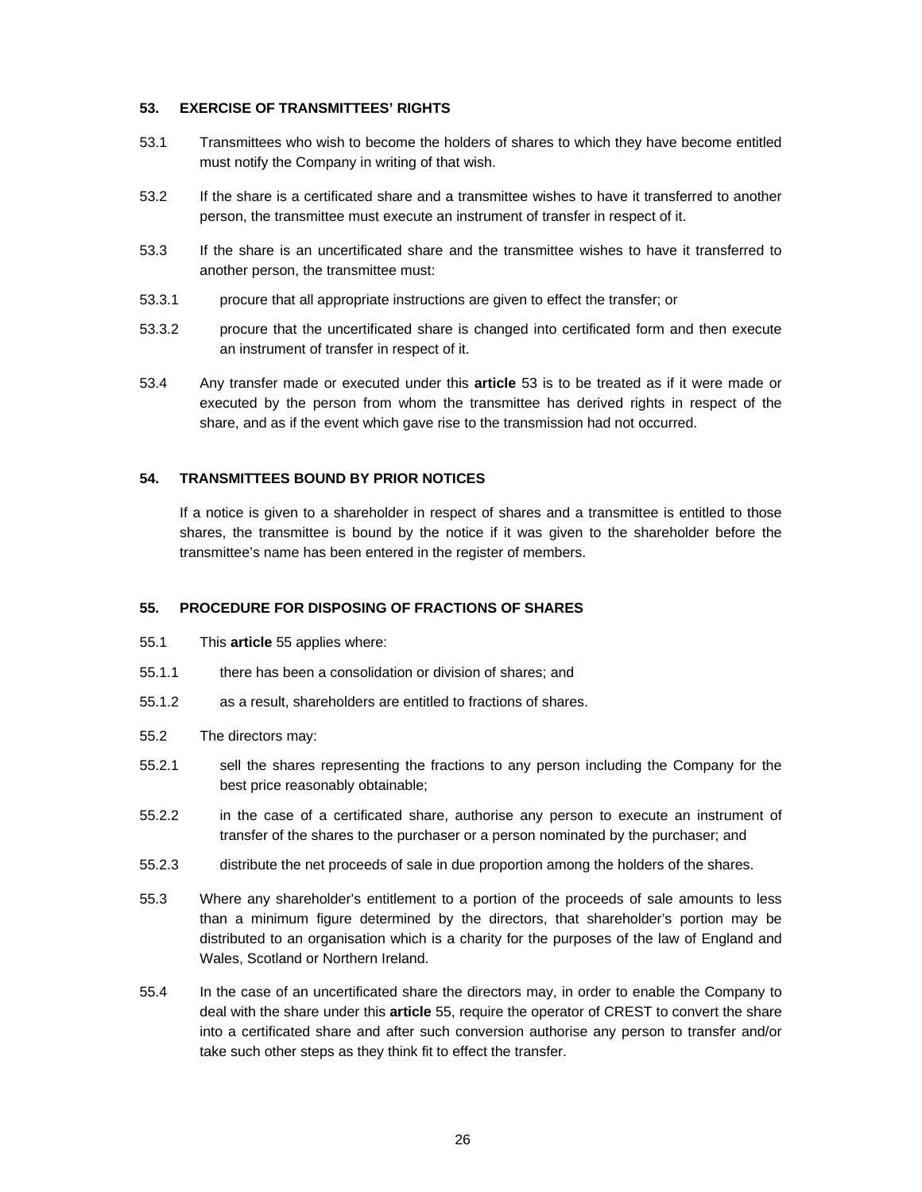## **53. EXERCISE OF TRANSMITTEES' RIGHTS**

- 53.1 Transmittees who wish to become the holders of shares to which they have become entitled must notify the Company in writing of that wish.
- 53.2 If the share is a certificated share and a transmittee wishes to have it transferred to another person, the transmittee must execute an instrument of transfer in respect of it.
- 53.3 If the share is an uncertificated share and the transmittee wishes to have it transferred to another person, the transmittee must:
- 53.3.1 procure that all appropriate instructions are given to effect the transfer; or
- 53.3.2 procure that the uncertificated share is changed into certificated form and then execute an instrument of transfer in respect of it.
- 53.4 Any transfer made or executed under this **article** 53 is to be treated as if it were made or executed by the person from whom the transmittee has derived rights in respect of the share, and as if the event which gave rise to the transmission had not occurred.

# **54. TRANSMITTEES BOUND BY PRIOR NOTICES**

If a notice is given to a shareholder in respect of shares and a transmittee is entitled to those shares, the transmittee is bound by the notice if it was given to the shareholder before the transmittee's name has been entered in the register of members.

### **55. PROCEDURE FOR DISPOSING OF FRACTIONS OF SHARES**

- 55.1 This **article** 55 applies where:
- 55.1.1 there has been a consolidation or division of shares; and
- 55.1.2 as a result, shareholders are entitled to fractions of shares.
- 55.2 The directors may:
- 55.2.1 sell the shares representing the fractions to any person including the Company for the best price reasonably obtainable;
- 55.2.2 in the case of a certificated share, authorise any person to execute an instrument of transfer of the shares to the purchaser or a person nominated by the purchaser; and
- 55.2.3 distribute the net proceeds of sale in due proportion among the holders of the shares.
- 55.3 Where any shareholder's entitlement to a portion of the proceeds of sale amounts to less than a minimum figure determined by the directors, that shareholder's portion may be distributed to an organisation which is a charity for the purposes of the law of England and Wales, Scotland or Northern Ireland.
- 55.4 In the case of an uncertificated share the directors may, in order to enable the Company to deal with the share under this **article** 55, require the operator of CREST to convert the share into a certificated share and after such conversion authorise any person to transfer and/or take such other steps as they think fit to effect the transfer.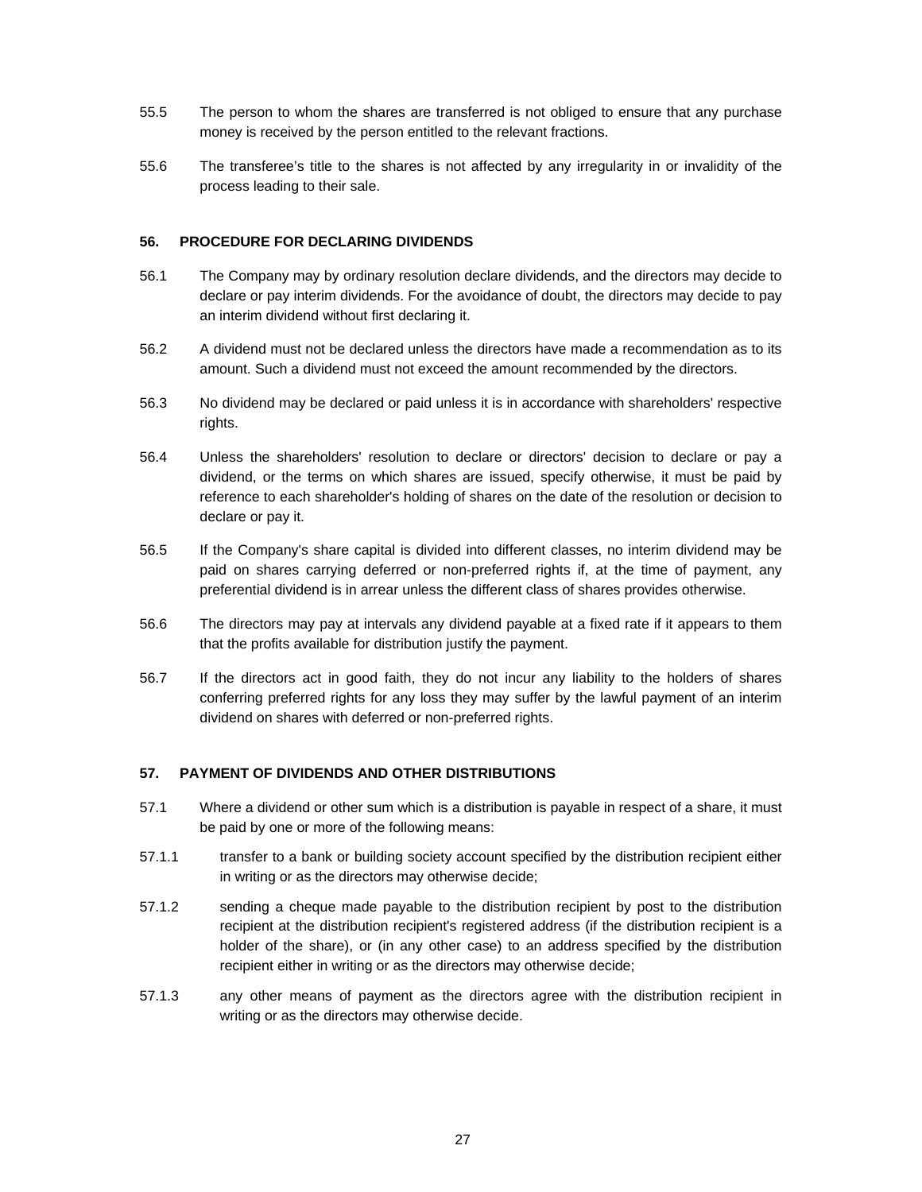- 55.5 The person to whom the shares are transferred is not obliged to ensure that any purchase money is received by the person entitled to the relevant fractions.
- 55.6 The transferee's title to the shares is not affected by any irregularity in or invalidity of the process leading to their sale.

# **56. PROCEDURE FOR DECLARING DIVIDENDS**

- 56.1 The Company may by ordinary resolution declare dividends, and the directors may decide to declare or pay interim dividends. For the avoidance of doubt, the directors may decide to pay an interim dividend without first declaring it.
- 56.2 A dividend must not be declared unless the directors have made a recommendation as to its amount. Such a dividend must not exceed the amount recommended by the directors.
- 56.3 No dividend may be declared or paid unless it is in accordance with shareholders' respective rights.
- 56.4 Unless the shareholders' resolution to declare or directors' decision to declare or pay a dividend, or the terms on which shares are issued, specify otherwise, it must be paid by reference to each shareholder's holding of shares on the date of the resolution or decision to declare or pay it.
- 56.5 If the Company's share capital is divided into different classes, no interim dividend may be paid on shares carrying deferred or non-preferred rights if, at the time of payment, any preferential dividend is in arrear unless the different class of shares provides otherwise.
- 56.6 The directors may pay at intervals any dividend payable at a fixed rate if it appears to them that the profits available for distribution justify the payment.
- 56.7 If the directors act in good faith, they do not incur any liability to the holders of shares conferring preferred rights for any loss they may suffer by the lawful payment of an interim dividend on shares with deferred or non-preferred rights.

### **57. PAYMENT OF DIVIDENDS AND OTHER DISTRIBUTIONS**

- 57.1 Where a dividend or other sum which is a distribution is payable in respect of a share, it must be paid by one or more of the following means:
- 57.1.1 transfer to a bank or building society account specified by the distribution recipient either in writing or as the directors may otherwise decide;
- 57.1.2 sending a cheque made payable to the distribution recipient by post to the distribution recipient at the distribution recipient's registered address (if the distribution recipient is a holder of the share), or (in any other case) to an address specified by the distribution recipient either in writing or as the directors may otherwise decide;
- 57.1.3 any other means of payment as the directors agree with the distribution recipient in writing or as the directors may otherwise decide.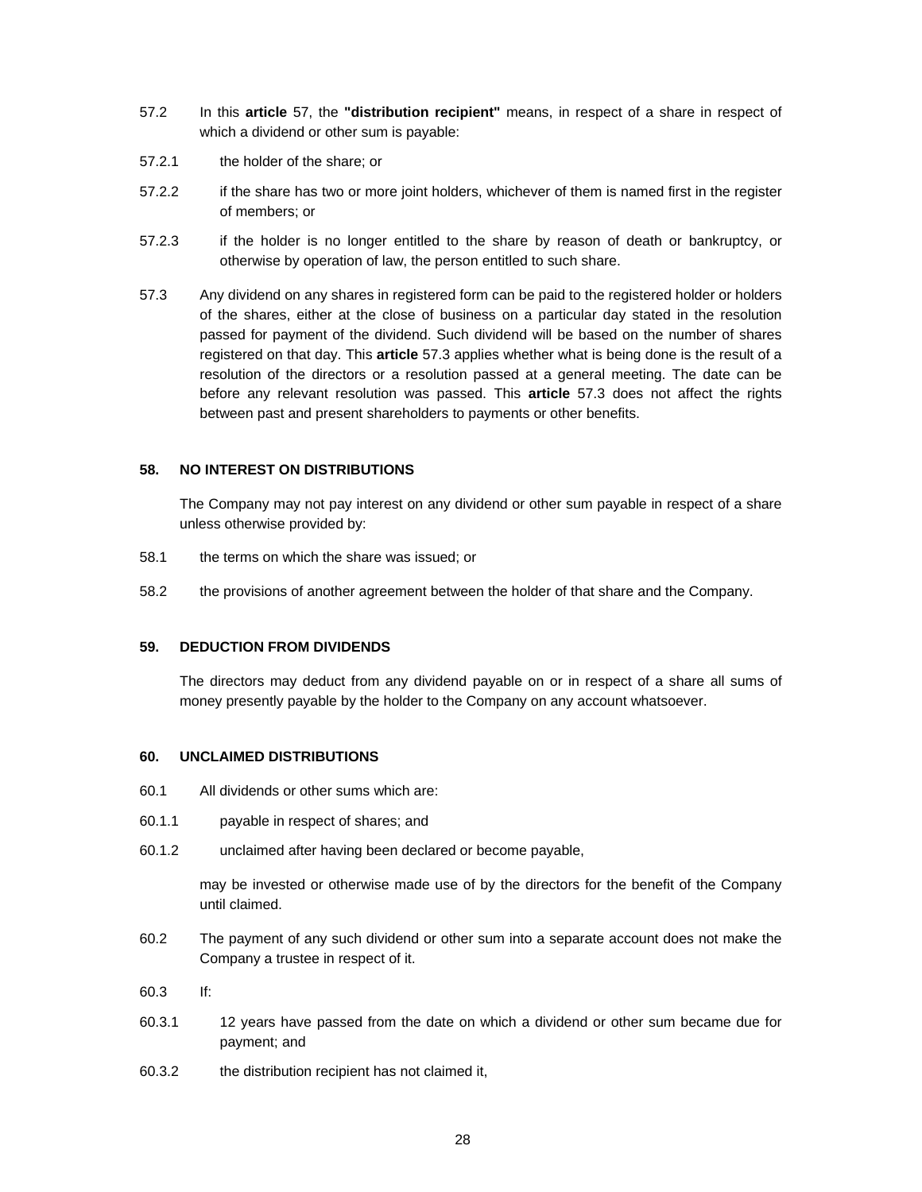- 57.2 In this **article** 57, the **"distribution recipient"** means, in respect of a share in respect of which a dividend or other sum is payable:
- 57.2.1 the holder of the share; or
- 57.2.2 if the share has two or more joint holders, whichever of them is named first in the register of members; or
- 57.2.3 if the holder is no longer entitled to the share by reason of death or bankruptcy, or otherwise by operation of law, the person entitled to such share.
- 57.3 Any dividend on any shares in registered form can be paid to the registered holder or holders of the shares, either at the close of business on a particular day stated in the resolution passed for payment of the dividend. Such dividend will be based on the number of shares registered on that day. This **article** 57.3 applies whether what is being done is the result of a resolution of the directors or a resolution passed at a general meeting. The date can be before any relevant resolution was passed. This **article** 57.3 does not affect the rights between past and present shareholders to payments or other benefits.

### **58. NO INTEREST ON DISTRIBUTIONS**

The Company may not pay interest on any dividend or other sum payable in respect of a share unless otherwise provided by:

- 58.1 the terms on which the share was issued; or
- 58.2 the provisions of another agreement between the holder of that share and the Company.

### **59. DEDUCTION FROM DIVIDENDS**

The directors may deduct from any dividend payable on or in respect of a share all sums of money presently payable by the holder to the Company on any account whatsoever.

#### **60. UNCLAIMED DISTRIBUTIONS**

- 60.1 All dividends or other sums which are:
- 60.1.1 payable in respect of shares; and
- 60.1.2 unclaimed after having been declared or become payable,

may be invested or otherwise made use of by the directors for the benefit of the Company until claimed.

- 60.2 The payment of any such dividend or other sum into a separate account does not make the Company a trustee in respect of it.
- 60.3 If:
- 60.3.1 12 years have passed from the date on which a dividend or other sum became due for payment; and
- 60.3.2 the distribution recipient has not claimed it,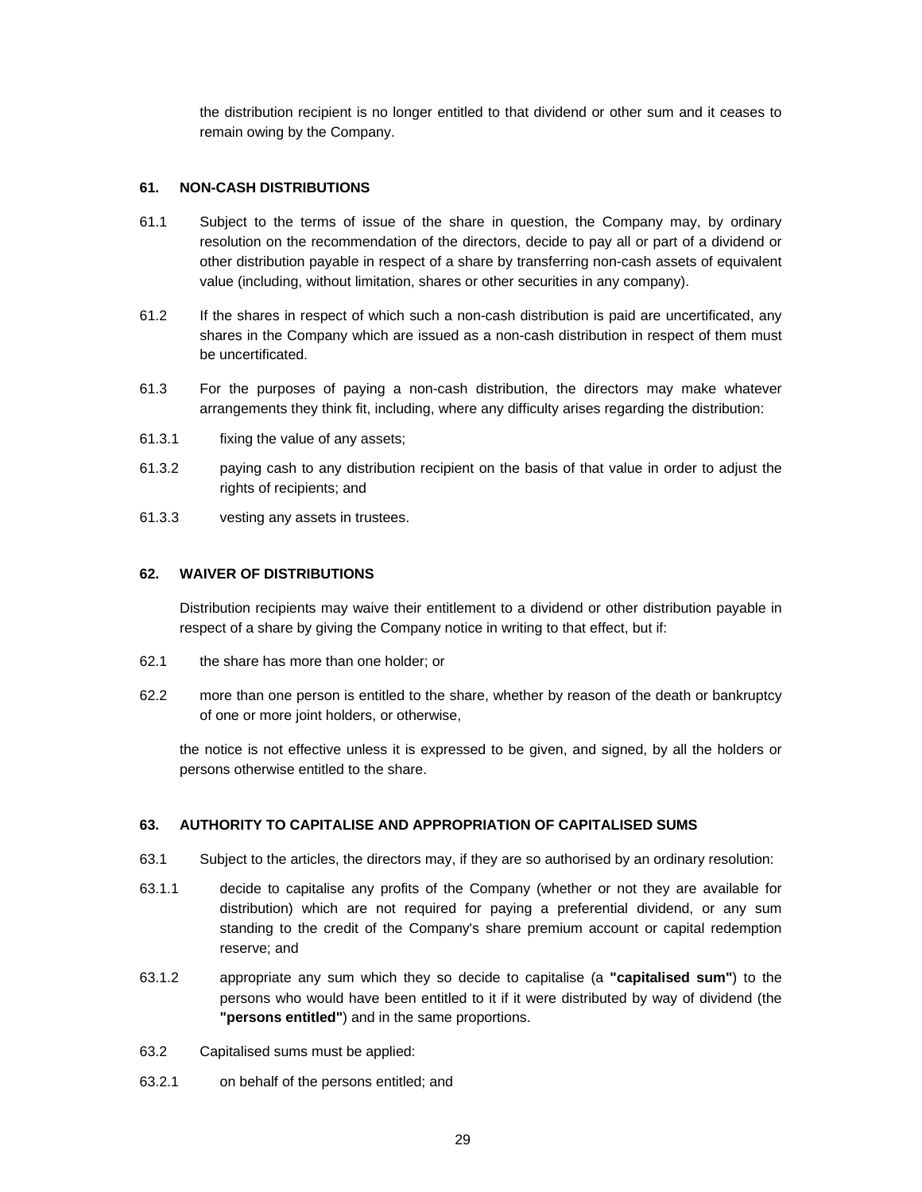the distribution recipient is no longer entitled to that dividend or other sum and it ceases to remain owing by the Company.

# **61. NON-CASH DISTRIBUTIONS**

- 61.1 Subject to the terms of issue of the share in question, the Company may, by ordinary resolution on the recommendation of the directors, decide to pay all or part of a dividend or other distribution payable in respect of a share by transferring non-cash assets of equivalent value (including, without limitation, shares or other securities in any company).
- 61.2 If the shares in respect of which such a non-cash distribution is paid are uncertificated, any shares in the Company which are issued as a non-cash distribution in respect of them must be uncertificated.
- 61.3 For the purposes of paying a non-cash distribution, the directors may make whatever arrangements they think fit, including, where any difficulty arises regarding the distribution:
- 61.3.1 fixing the value of any assets;
- 61.3.2 paying cash to any distribution recipient on the basis of that value in order to adjust the rights of recipients; and
- 61.3.3 vesting any assets in trustees.

### **62. WAIVER OF DISTRIBUTIONS**

Distribution recipients may waive their entitlement to a dividend or other distribution payable in respect of a share by giving the Company notice in writing to that effect, but if:

- 62.1 the share has more than one holder; or
- 62.2 more than one person is entitled to the share, whether by reason of the death or bankruptcy of one or more joint holders, or otherwise,

the notice is not effective unless it is expressed to be given, and signed, by all the holders or persons otherwise entitled to the share.

# **63. AUTHORITY TO CAPITALISE AND APPROPRIATION OF CAPITALISED SUMS**

- 63.1 Subject to the articles, the directors may, if they are so authorised by an ordinary resolution:
- 63.1.1 decide to capitalise any profits of the Company (whether or not they are available for distribution) which are not required for paying a preferential dividend, or any sum standing to the credit of the Company's share premium account or capital redemption reserve; and
- 63.1.2 appropriate any sum which they so decide to capitalise (a **"capitalised sum"**) to the persons who would have been entitled to it if it were distributed by way of dividend (the **"persons entitled"**) and in the same proportions.
- 63.2 Capitalised sums must be applied:
- 63.2.1 on behalf of the persons entitled; and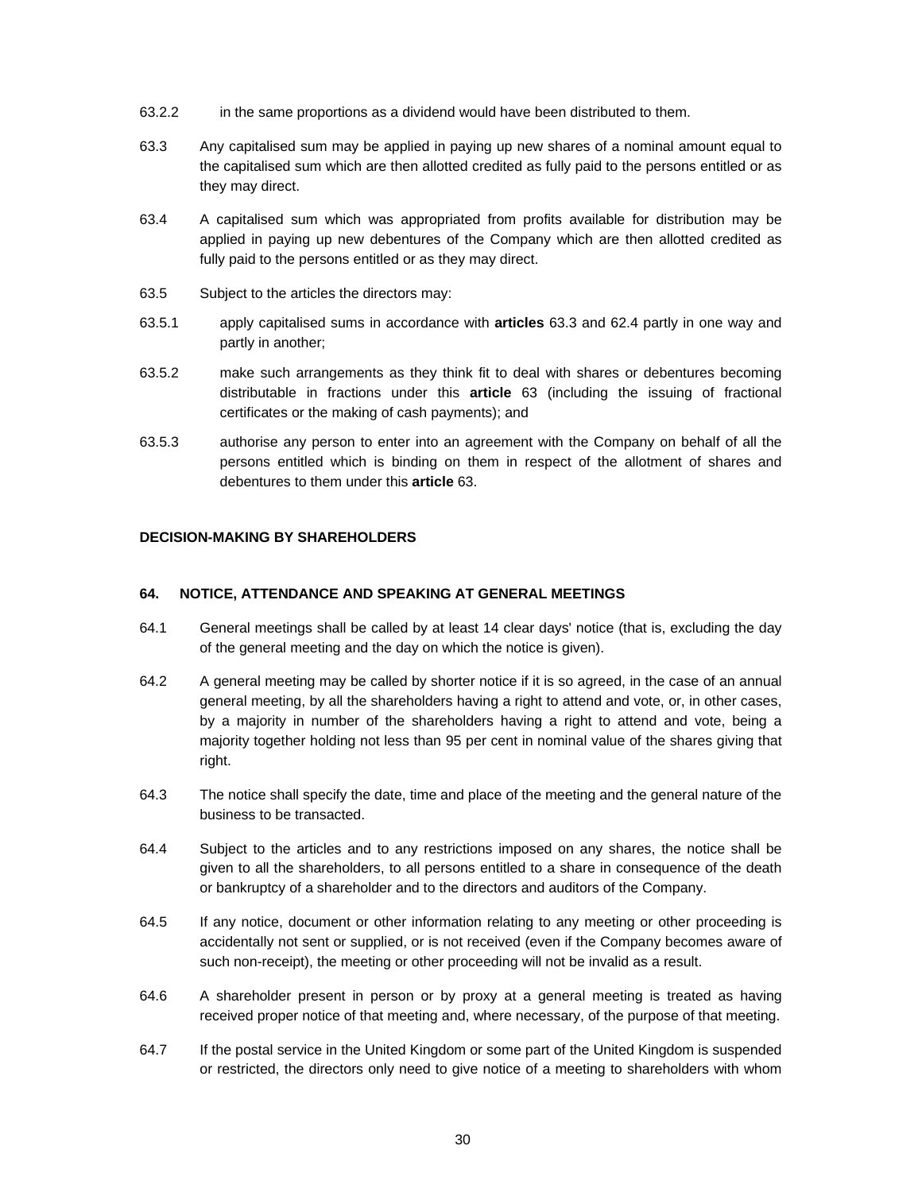- 63.2.2 in the same proportions as a dividend would have been distributed to them.
- 63.3 Any capitalised sum may be applied in paying up new shares of a nominal amount equal to the capitalised sum which are then allotted credited as fully paid to the persons entitled or as they may direct.
- 63.4 A capitalised sum which was appropriated from profits available for distribution may be applied in paying up new debentures of the Company which are then allotted credited as fully paid to the persons entitled or as they may direct.
- 63.5 Subject to the articles the directors may:
- 63.5.1 apply capitalised sums in accordance with **articles** 63.3 and 62.4 partly in one way and partly in another;
- 63.5.2 make such arrangements as they think fit to deal with shares or debentures becoming distributable in fractions under this **article** 63 (including the issuing of fractional certificates or the making of cash payments); and
- 63.5.3 authorise any person to enter into an agreement with the Company on behalf of all the persons entitled which is binding on them in respect of the allotment of shares and debentures to them under this **article** 63.

# **DECISION-MAKING BY SHAREHOLDERS**

#### **64. NOTICE, ATTENDANCE AND SPEAKING AT GENERAL MEETINGS**

- 64.1 General meetings shall be called by at least 14 clear days' notice (that is, excluding the day of the general meeting and the day on which the notice is given).
- 64.2 A general meeting may be called by shorter notice if it is so agreed, in the case of an annual general meeting, by all the shareholders having a right to attend and vote, or, in other cases, by a majority in number of the shareholders having a right to attend and vote, being a majority together holding not less than 95 per cent in nominal value of the shares giving that right.
- 64.3 The notice shall specify the date, time and place of the meeting and the general nature of the business to be transacted.
- 64.4 Subject to the articles and to any restrictions imposed on any shares, the notice shall be given to all the shareholders, to all persons entitled to a share in consequence of the death or bankruptcy of a shareholder and to the directors and auditors of the Company.
- 64.5 If any notice, document or other information relating to any meeting or other proceeding is accidentally not sent or supplied, or is not received (even if the Company becomes aware of such non-receipt), the meeting or other proceeding will not be invalid as a result.
- 64.6 A shareholder present in person or by proxy at a general meeting is treated as having received proper notice of that meeting and, where necessary, of the purpose of that meeting.
- 64.7 If the postal service in the United Kingdom or some part of the United Kingdom is suspended or restricted, the directors only need to give notice of a meeting to shareholders with whom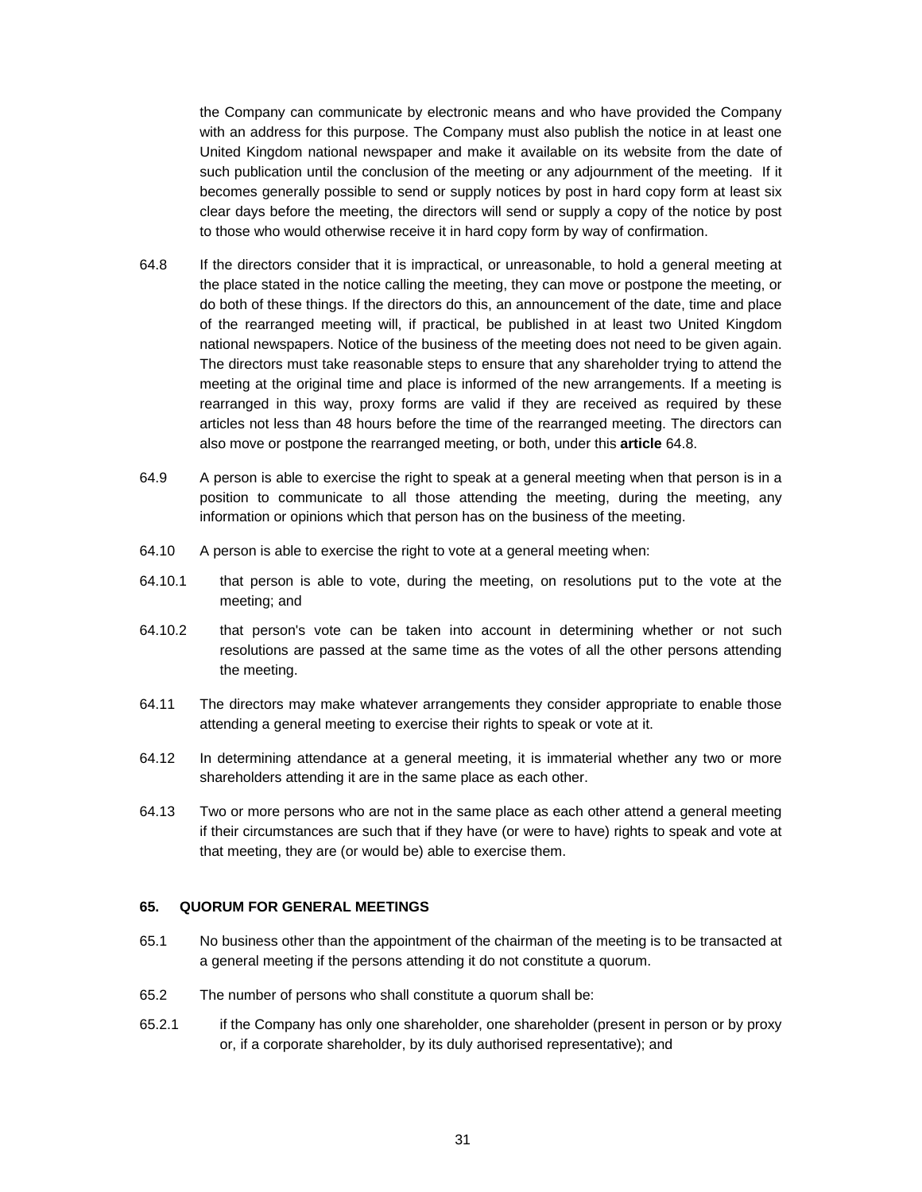the Company can communicate by electronic means and who have provided the Company with an address for this purpose. The Company must also publish the notice in at least one United Kingdom national newspaper and make it available on its website from the date of such publication until the conclusion of the meeting or any adjournment of the meeting. If it becomes generally possible to send or supply notices by post in hard copy form at least six clear days before the meeting, the directors will send or supply a copy of the notice by post to those who would otherwise receive it in hard copy form by way of confirmation.

- 64.8 If the directors consider that it is impractical, or unreasonable, to hold a general meeting at the place stated in the notice calling the meeting, they can move or postpone the meeting, or do both of these things. If the directors do this, an announcement of the date, time and place of the rearranged meeting will, if practical, be published in at least two United Kingdom national newspapers. Notice of the business of the meeting does not need to be given again. The directors must take reasonable steps to ensure that any shareholder trying to attend the meeting at the original time and place is informed of the new arrangements. If a meeting is rearranged in this way, proxy forms are valid if they are received as required by these articles not less than 48 hours before the time of the rearranged meeting. The directors can also move or postpone the rearranged meeting, or both, under this **article** 64.8.
- 64.9 A person is able to exercise the right to speak at a general meeting when that person is in a position to communicate to all those attending the meeting, during the meeting, any information or opinions which that person has on the business of the meeting.
- 64.10 A person is able to exercise the right to vote at a general meeting when:
- 64.10.1 that person is able to vote, during the meeting, on resolutions put to the vote at the meeting; and
- 64.10.2 that person's vote can be taken into account in determining whether or not such resolutions are passed at the same time as the votes of all the other persons attending the meeting.
- 64.11 The directors may make whatever arrangements they consider appropriate to enable those attending a general meeting to exercise their rights to speak or vote at it.
- 64.12 In determining attendance at a general meeting, it is immaterial whether any two or more shareholders attending it are in the same place as each other.
- 64.13 Two or more persons who are not in the same place as each other attend a general meeting if their circumstances are such that if they have (or were to have) rights to speak and vote at that meeting, they are (or would be) able to exercise them.

#### **65. QUORUM FOR GENERAL MEETINGS**

- 65.1 No business other than the appointment of the chairman of the meeting is to be transacted at a general meeting if the persons attending it do not constitute a quorum.
- 65.2 The number of persons who shall constitute a quorum shall be:
- 65.2.1 if the Company has only one shareholder, one shareholder (present in person or by proxy or, if a corporate shareholder, by its duly authorised representative); and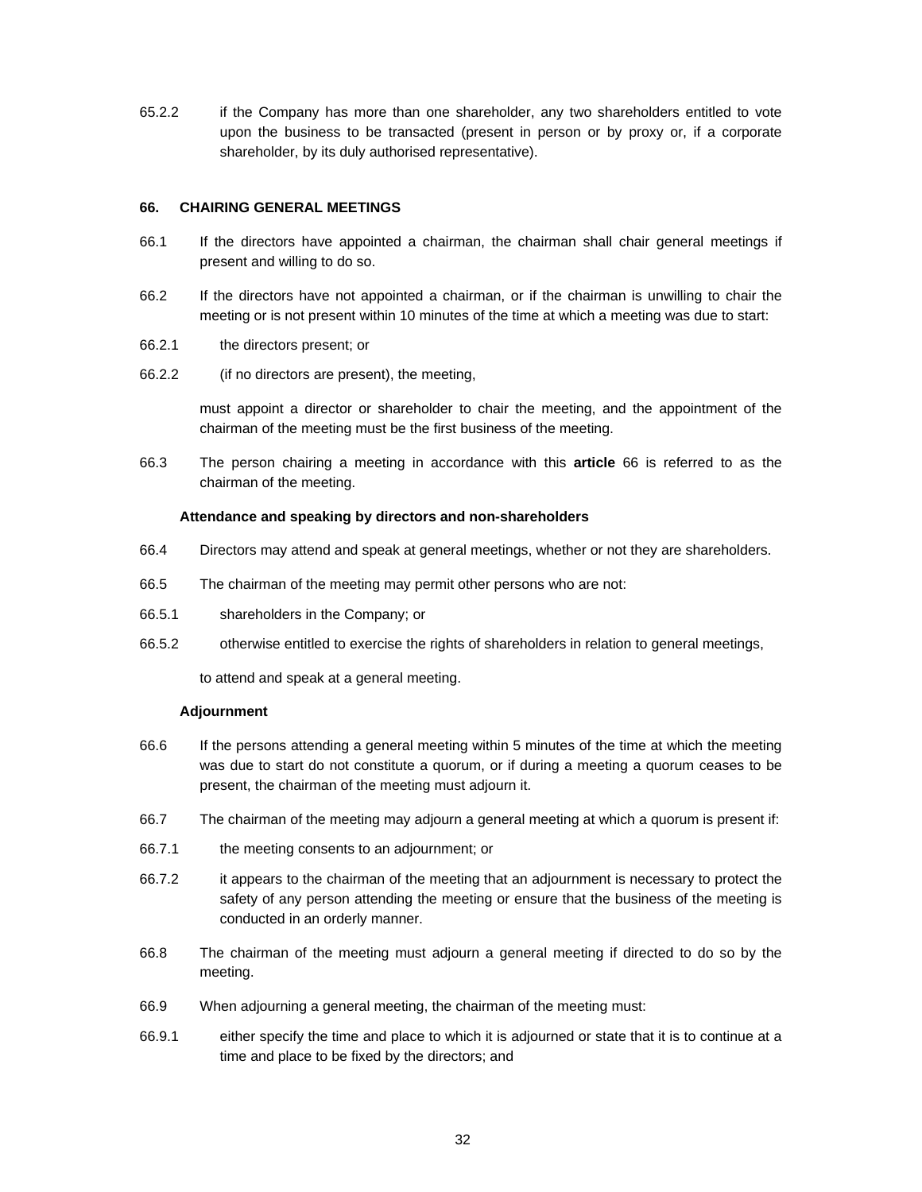65.2.2 if the Company has more than one shareholder, any two shareholders entitled to vote upon the business to be transacted (present in person or by proxy or, if a corporate shareholder, by its duly authorised representative).

# **66. CHAIRING GENERAL MEETINGS**

- 66.1 If the directors have appointed a chairman, the chairman shall chair general meetings if present and willing to do so.
- 66.2 If the directors have not appointed a chairman, or if the chairman is unwilling to chair the meeting or is not present within 10 minutes of the time at which a meeting was due to start:
- 66.2.1 the directors present; or
- 66.2.2 (if no directors are present), the meeting,

must appoint a director or shareholder to chair the meeting, and the appointment of the chairman of the meeting must be the first business of the meeting.

66.3 The person chairing a meeting in accordance with this **article** 66 is referred to as the chairman of the meeting.

### **Attendance and speaking by directors and non-shareholders**

- 66.4 Directors may attend and speak at general meetings, whether or not they are shareholders.
- 66.5 The chairman of the meeting may permit other persons who are not:
- 66.5.1 shareholders in the Company; or
- 66.5.2 otherwise entitled to exercise the rights of shareholders in relation to general meetings,

to attend and speak at a general meeting.

# **Adjournment**

- 66.6 If the persons attending a general meeting within 5 minutes of the time at which the meeting was due to start do not constitute a quorum, or if during a meeting a quorum ceases to be present, the chairman of the meeting must adjourn it.
- 66.7 The chairman of the meeting may adjourn a general meeting at which a quorum is present if:
- 66.7.1 the meeting consents to an adjournment; or
- 66.7.2 it appears to the chairman of the meeting that an adjournment is necessary to protect the safety of any person attending the meeting or ensure that the business of the meeting is conducted in an orderly manner.
- 66.8 The chairman of the meeting must adjourn a general meeting if directed to do so by the meeting.
- 66.9 When adjourning a general meeting, the chairman of the meeting must:
- 66.9.1 either specify the time and place to which it is adjourned or state that it is to continue at a time and place to be fixed by the directors; and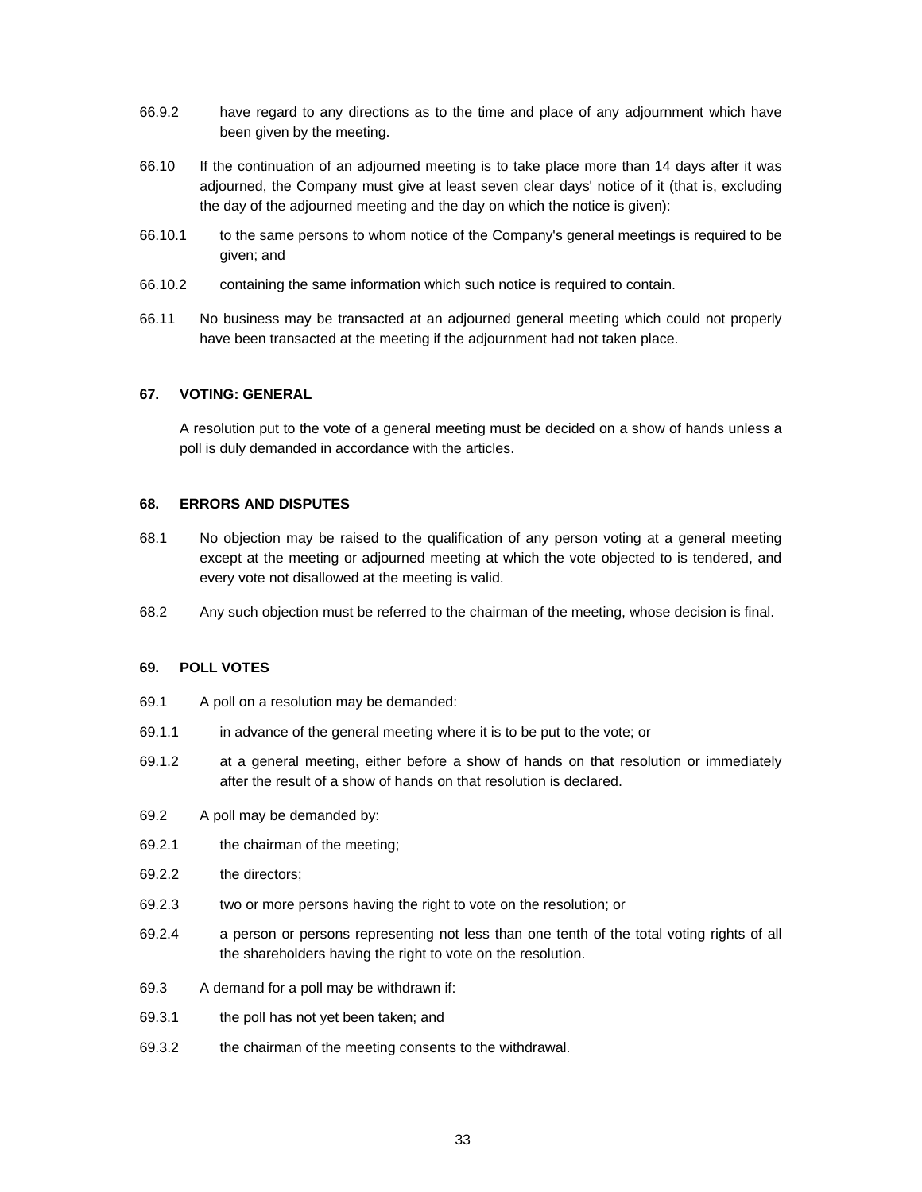- 66.9.2 have regard to any directions as to the time and place of any adjournment which have been given by the meeting.
- 66.10 If the continuation of an adjourned meeting is to take place more than 14 days after it was adjourned, the Company must give at least seven clear days' notice of it (that is, excluding the day of the adjourned meeting and the day on which the notice is given):
- 66.10.1 to the same persons to whom notice of the Company's general meetings is required to be given; and
- 66.10.2 containing the same information which such notice is required to contain.
- 66.11 No business may be transacted at an adjourned general meeting which could not properly have been transacted at the meeting if the adjournment had not taken place.

### **67. VOTING: GENERAL**

A resolution put to the vote of a general meeting must be decided on a show of hands unless a poll is duly demanded in accordance with the articles.

### **68. ERRORS AND DISPUTES**

- 68.1 No objection may be raised to the qualification of any person voting at a general meeting except at the meeting or adjourned meeting at which the vote objected to is tendered, and every vote not disallowed at the meeting is valid.
- 68.2 Any such objection must be referred to the chairman of the meeting, whose decision is final.

#### **69. POLL VOTES**

- 69.1 A poll on a resolution may be demanded:
- 69.1.1 in advance of the general meeting where it is to be put to the vote; or
- 69.1.2 at a general meeting, either before a show of hands on that resolution or immediately after the result of a show of hands on that resolution is declared.
- 69.2 A poll may be demanded by:
- 69.2.1 the chairman of the meeting;
- 69.2.2 the directors;
- 69.2.3 two or more persons having the right to vote on the resolution; or
- 69.2.4 a person or persons representing not less than one tenth of the total voting rights of all the shareholders having the right to vote on the resolution.
- 69.3 A demand for a poll may be withdrawn if:
- 69.3.1 the poll has not yet been taken; and
- 69.3.2 the chairman of the meeting consents to the withdrawal.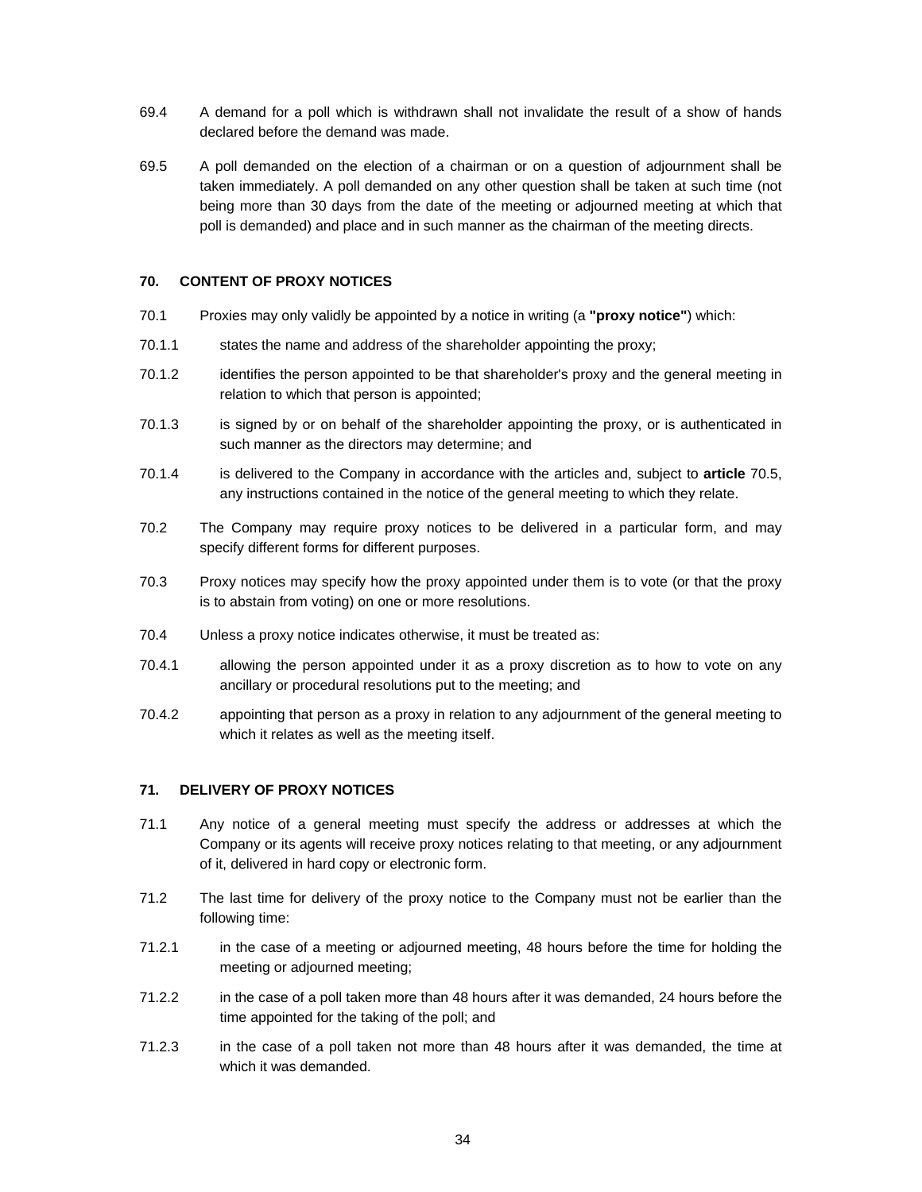- 69.4 A demand for a poll which is withdrawn shall not invalidate the result of a show of hands declared before the demand was made.
- 69.5 A poll demanded on the election of a chairman or on a question of adjournment shall be taken immediately. A poll demanded on any other question shall be taken at such time (not being more than 30 days from the date of the meeting or adjourned meeting at which that poll is demanded) and place and in such manner as the chairman of the meeting directs.

# **70. CONTENT OF PROXY NOTICES**

- 70.1 Proxies may only validly be appointed by a notice in writing (a **"proxy notice"**) which:
- 70.1.1 states the name and address of the shareholder appointing the proxy;
- 70.1.2 identifies the person appointed to be that shareholder's proxy and the general meeting in relation to which that person is appointed;
- 70.1.3 is signed by or on behalf of the shareholder appointing the proxy, or is authenticated in such manner as the directors may determine; and
- 70.1.4 is delivered to the Company in accordance with the articles and, subject to **article** 70.5, any instructions contained in the notice of the general meeting to which they relate.
- 70.2 The Company may require proxy notices to be delivered in a particular form, and may specify different forms for different purposes.
- 70.3 Proxy notices may specify how the proxy appointed under them is to vote (or that the proxy is to abstain from voting) on one or more resolutions.
- 70.4 Unless a proxy notice indicates otherwise, it must be treated as:
- 70.4.1 allowing the person appointed under it as a proxy discretion as to how to vote on any ancillary or procedural resolutions put to the meeting; and
- 70.4.2 appointing that person as a proxy in relation to any adjournment of the general meeting to which it relates as well as the meeting itself.

### **71. DELIVERY OF PROXY NOTICES**

- 71.1 Any notice of a general meeting must specify the address or addresses at which the Company or its agents will receive proxy notices relating to that meeting, or any adjournment of it, delivered in hard copy or electronic form.
- 71.2 The last time for delivery of the proxy notice to the Company must not be earlier than the following time:
- 71.2.1 in the case of a meeting or adjourned meeting, 48 hours before the time for holding the meeting or adjourned meeting;
- 71.2.2 in the case of a poll taken more than 48 hours after it was demanded, 24 hours before the time appointed for the taking of the poll; and
- 71.2.3 in the case of a poll taken not more than 48 hours after it was demanded, the time at which it was demanded.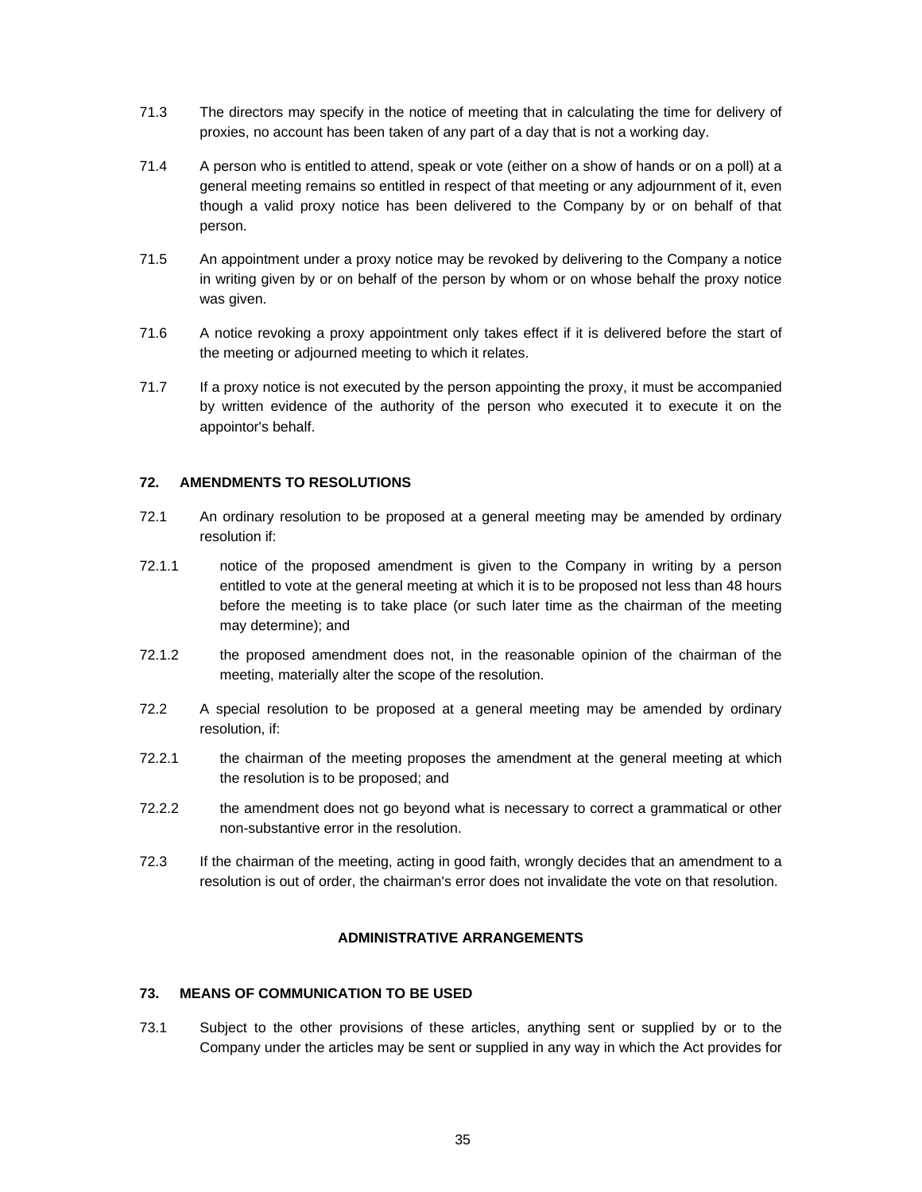- 71.3 The directors may specify in the notice of meeting that in calculating the time for delivery of proxies, no account has been taken of any part of a day that is not a working day.
- 71.4 A person who is entitled to attend, speak or vote (either on a show of hands or on a poll) at a general meeting remains so entitled in respect of that meeting or any adjournment of it, even though a valid proxy notice has been delivered to the Company by or on behalf of that person.
- 71.5 An appointment under a proxy notice may be revoked by delivering to the Company a notice in writing given by or on behalf of the person by whom or on whose behalf the proxy notice was given.
- 71.6 A notice revoking a proxy appointment only takes effect if it is delivered before the start of the meeting or adjourned meeting to which it relates.
- 71.7 If a proxy notice is not executed by the person appointing the proxy, it must be accompanied by written evidence of the authority of the person who executed it to execute it on the appointor's behalf.

# **72. AMENDMENTS TO RESOLUTIONS**

- 72.1 An ordinary resolution to be proposed at a general meeting may be amended by ordinary resolution if:
- 72.1.1 notice of the proposed amendment is given to the Company in writing by a person entitled to vote at the general meeting at which it is to be proposed not less than 48 hours before the meeting is to take place (or such later time as the chairman of the meeting may determine); and
- 72.1.2 the proposed amendment does not, in the reasonable opinion of the chairman of the meeting, materially alter the scope of the resolution.
- 72.2 A special resolution to be proposed at a general meeting may be amended by ordinary resolution, if:
- 72.2.1 the chairman of the meeting proposes the amendment at the general meeting at which the resolution is to be proposed; and
- 72.2.2 the amendment does not go beyond what is necessary to correct a grammatical or other non-substantive error in the resolution.
- 72.3 If the chairman of the meeting, acting in good faith, wrongly decides that an amendment to a resolution is out of order, the chairman's error does not invalidate the vote on that resolution.

# **ADMINISTRATIVE ARRANGEMENTS**

### **73. MEANS OF COMMUNICATION TO BE USED**

73.1 Subject to the other provisions of these articles, anything sent or supplied by or to the Company under the articles may be sent or supplied in any way in which the Act provides for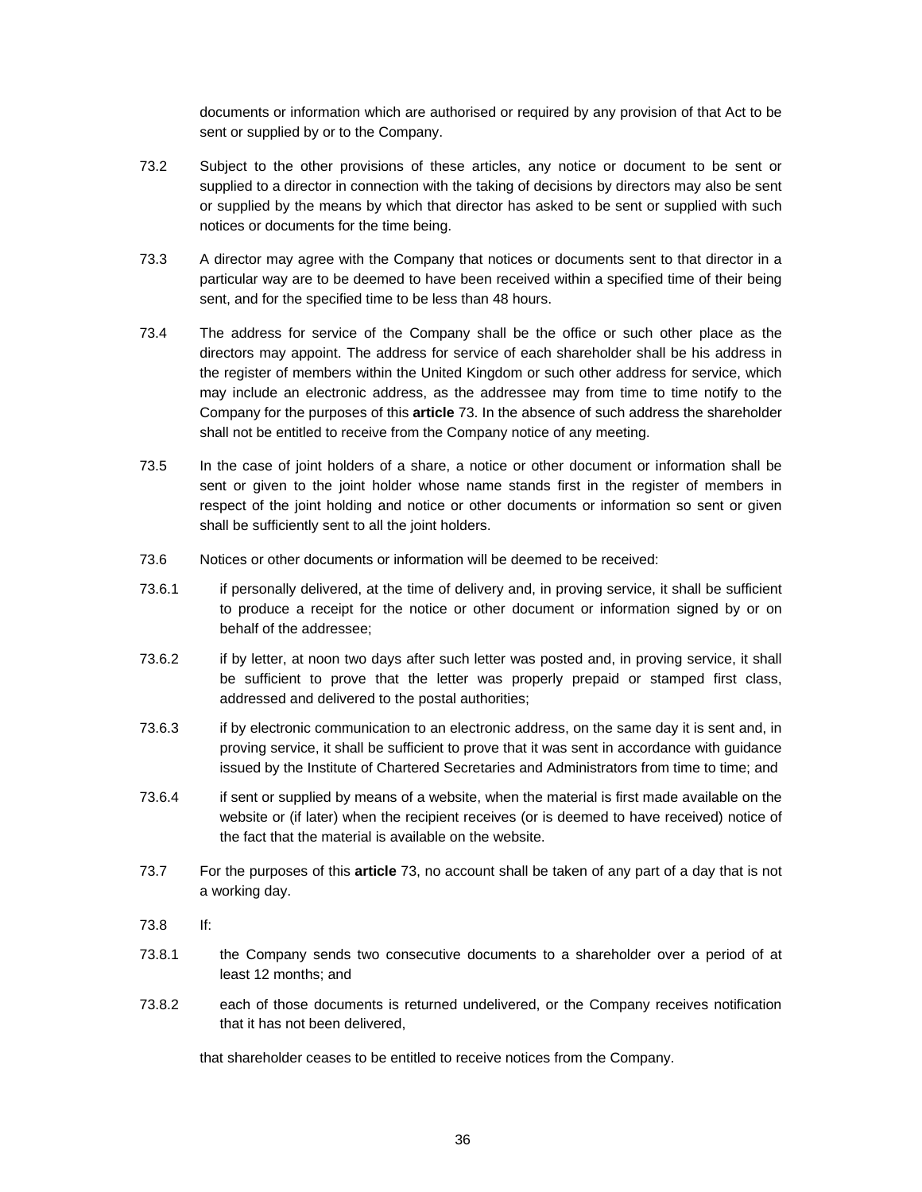documents or information which are authorised or required by any provision of that Act to be sent or supplied by or to the Company.

- 73.2 Subject to the other provisions of these articles, any notice or document to be sent or supplied to a director in connection with the taking of decisions by directors may also be sent or supplied by the means by which that director has asked to be sent or supplied with such notices or documents for the time being.
- 73.3 A director may agree with the Company that notices or documents sent to that director in a particular way are to be deemed to have been received within a specified time of their being sent, and for the specified time to be less than 48 hours.
- 73.4 The address for service of the Company shall be the office or such other place as the directors may appoint. The address for service of each shareholder shall be his address in the register of members within the United Kingdom or such other address for service, which may include an electronic address, as the addressee may from time to time notify to the Company for the purposes of this **article** 73. In the absence of such address the shareholder shall not be entitled to receive from the Company notice of any meeting.
- 73.5 In the case of joint holders of a share, a notice or other document or information shall be sent or given to the joint holder whose name stands first in the register of members in respect of the joint holding and notice or other documents or information so sent or given shall be sufficiently sent to all the joint holders.
- 73.6 Notices or other documents or information will be deemed to be received:
- 73.6.1 if personally delivered, at the time of delivery and, in proving service, it shall be sufficient to produce a receipt for the notice or other document or information signed by or on behalf of the addressee;
- 73.6.2 if by letter, at noon two days after such letter was posted and, in proving service, it shall be sufficient to prove that the letter was properly prepaid or stamped first class, addressed and delivered to the postal authorities;
- 73.6.3 if by electronic communication to an electronic address, on the same day it is sent and, in proving service, it shall be sufficient to prove that it was sent in accordance with guidance issued by the Institute of Chartered Secretaries and Administrators from time to time; and
- 73.6.4 if sent or supplied by means of a website, when the material is first made available on the website or (if later) when the recipient receives (or is deemed to have received) notice of the fact that the material is available on the website.
- 73.7 For the purposes of this **article** 73, no account shall be taken of any part of a day that is not a working day.
- 73.8 If:
- 73.8.1 the Company sends two consecutive documents to a shareholder over a period of at least 12 months; and
- 73.8.2 each of those documents is returned undelivered, or the Company receives notification that it has not been delivered,

that shareholder ceases to be entitled to receive notices from the Company.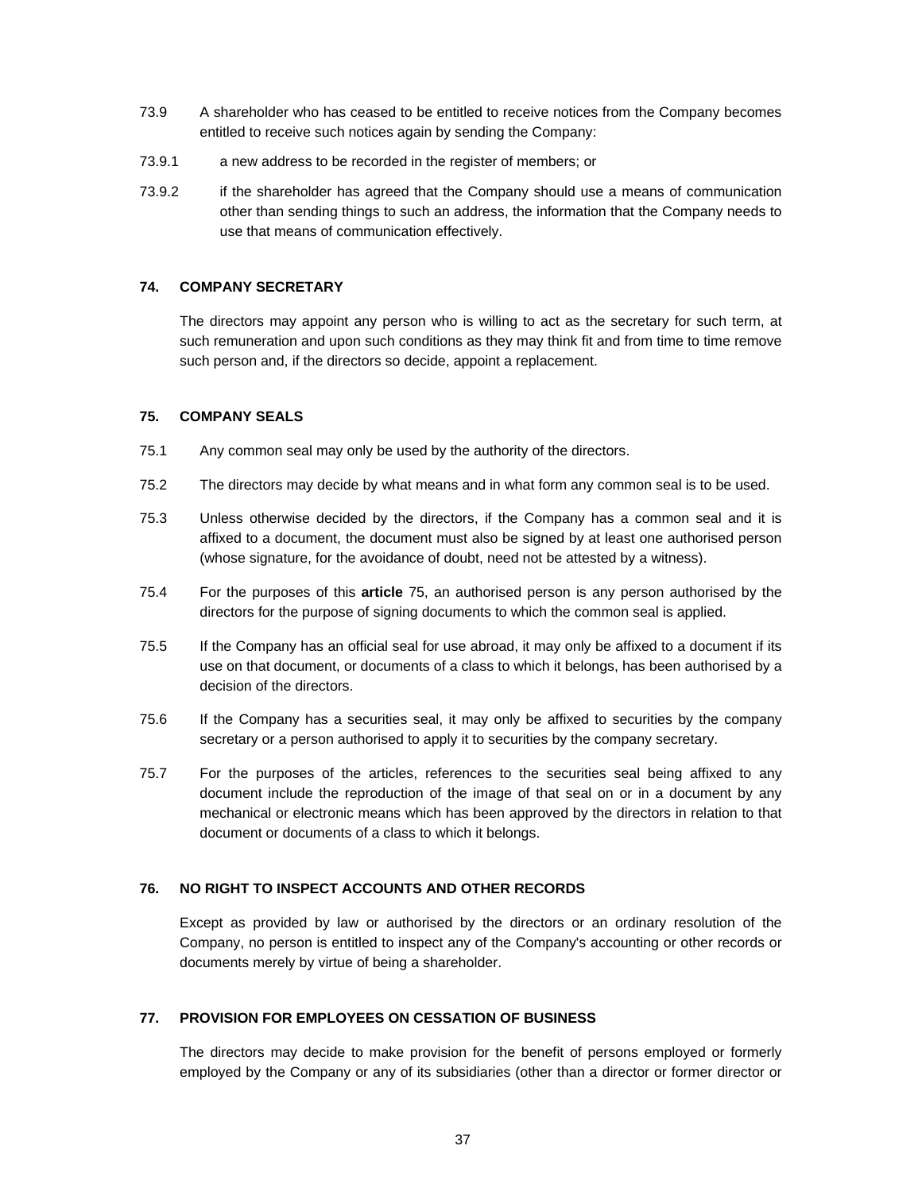- 73.9 A shareholder who has ceased to be entitled to receive notices from the Company becomes entitled to receive such notices again by sending the Company:
- 73.9.1 a new address to be recorded in the register of members; or
- 73.9.2 if the shareholder has agreed that the Company should use a means of communication other than sending things to such an address, the information that the Company needs to use that means of communication effectively.

# **74. COMPANY SECRETARY**

The directors may appoint any person who is willing to act as the secretary for such term, at such remuneration and upon such conditions as they may think fit and from time to time remove such person and, if the directors so decide, appoint a replacement.

### **75. COMPANY SEALS**

- 75.1 Any common seal may only be used by the authority of the directors.
- 75.2 The directors may decide by what means and in what form any common seal is to be used.
- 75.3 Unless otherwise decided by the directors, if the Company has a common seal and it is affixed to a document, the document must also be signed by at least one authorised person (whose signature, for the avoidance of doubt, need not be attested by a witness).
- 75.4 For the purposes of this **article** 75, an authorised person is any person authorised by the directors for the purpose of signing documents to which the common seal is applied.
- 75.5 If the Company has an official seal for use abroad, it may only be affixed to a document if its use on that document, or documents of a class to which it belongs, has been authorised by a decision of the directors.
- 75.6 If the Company has a securities seal, it may only be affixed to securities by the company secretary or a person authorised to apply it to securities by the company secretary.
- 75.7 For the purposes of the articles, references to the securities seal being affixed to any document include the reproduction of the image of that seal on or in a document by any mechanical or electronic means which has been approved by the directors in relation to that document or documents of a class to which it belongs.

# **76. NO RIGHT TO INSPECT ACCOUNTS AND OTHER RECORDS**

Except as provided by law or authorised by the directors or an ordinary resolution of the Company, no person is entitled to inspect any of the Company's accounting or other records or documents merely by virtue of being a shareholder.

# **77. PROVISION FOR EMPLOYEES ON CESSATION OF BUSINESS**

The directors may decide to make provision for the benefit of persons employed or formerly employed by the Company or any of its subsidiaries (other than a director or former director or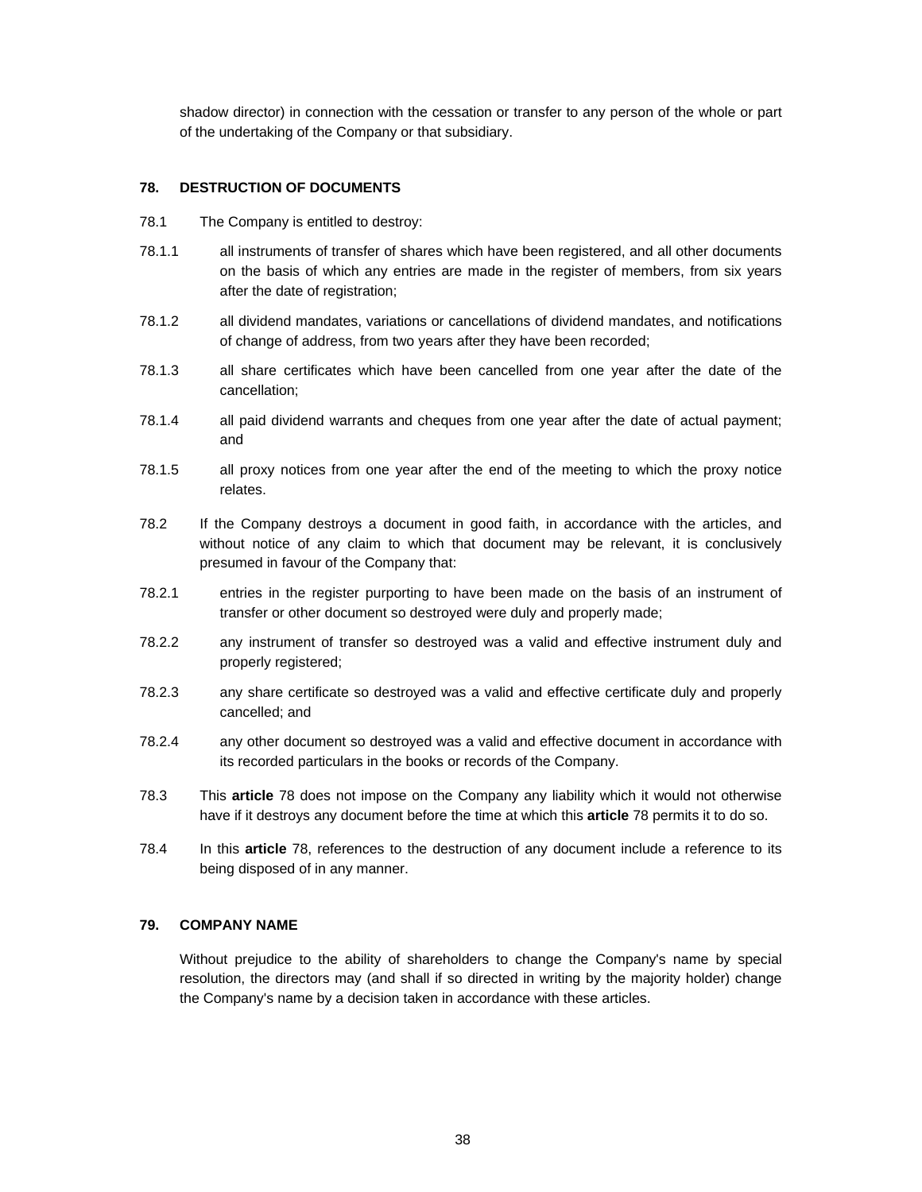shadow director) in connection with the cessation or transfer to any person of the whole or part of the undertaking of the Company or that subsidiary.

# **78. DESTRUCTION OF DOCUMENTS**

- 78.1 The Company is entitled to destroy:
- 78.1.1 all instruments of transfer of shares which have been registered, and all other documents on the basis of which any entries are made in the register of members, from six years after the date of registration;
- 78.1.2 all dividend mandates, variations or cancellations of dividend mandates, and notifications of change of address, from two years after they have been recorded;
- 78.1.3 all share certificates which have been cancelled from one year after the date of the cancellation;
- 78.1.4 all paid dividend warrants and cheques from one year after the date of actual payment; and
- 78.1.5 all proxy notices from one year after the end of the meeting to which the proxy notice relates.
- 78.2 If the Company destroys a document in good faith, in accordance with the articles, and without notice of any claim to which that document may be relevant, it is conclusively presumed in favour of the Company that:
- 78.2.1 entries in the register purporting to have been made on the basis of an instrument of transfer or other document so destroyed were duly and properly made;
- 78.2.2 any instrument of transfer so destroyed was a valid and effective instrument duly and properly registered;
- 78.2.3 any share certificate so destroyed was a valid and effective certificate duly and properly cancelled; and
- 78.2.4 any other document so destroyed was a valid and effective document in accordance with its recorded particulars in the books or records of the Company.
- 78.3 This **article** 78 does not impose on the Company any liability which it would not otherwise have if it destroys any document before the time at which this **article** 78 permits it to do so.
- 78.4 In this **article** 78, references to the destruction of any document include a reference to its being disposed of in any manner.

### **79. COMPANY NAME**

Without prejudice to the ability of shareholders to change the Company's name by special resolution, the directors may (and shall if so directed in writing by the majority holder) change the Company's name by a decision taken in accordance with these articles.